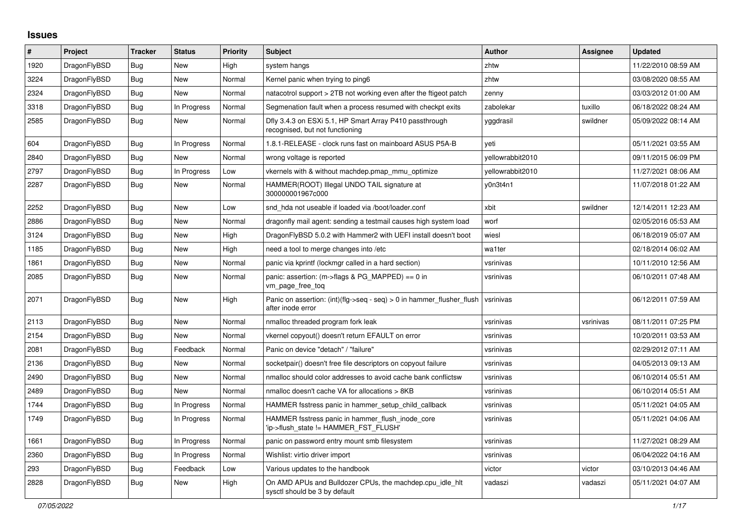## **Issues**

| #    | Project      | <b>Tracker</b> | <b>Status</b> | <b>Priority</b> | <b>Subject</b>                                                                             | <b>Author</b>    | Assignee  | <b>Updated</b>      |
|------|--------------|----------------|---------------|-----------------|--------------------------------------------------------------------------------------------|------------------|-----------|---------------------|
| 1920 | DragonFlyBSD | Bug            | <b>New</b>    | High            | system hangs                                                                               | zhtw             |           | 11/22/2010 08:59 AM |
| 3224 | DragonFlyBSD | <b>Bug</b>     | <b>New</b>    | Normal          | Kernel panic when trying to ping6                                                          | zhtw             |           | 03/08/2020 08:55 AM |
| 2324 | DragonFlyBSD | <b>Bug</b>     | <b>New</b>    | Normal          | natacotrol support > 2TB not working even after the ftigeot patch                          | zenny            |           | 03/03/2012 01:00 AM |
| 3318 | DragonFlyBSD | Bug            | In Progress   | Normal          | Segmenation fault when a process resumed with checkpt exits                                | zabolekar        | tuxillo   | 06/18/2022 08:24 AM |
| 2585 | DragonFlyBSD | Bug            | New           | Normal          | Dfly 3.4.3 on ESXi 5.1, HP Smart Array P410 passthrough<br>recognised, but not functioning | yggdrasil        | swildner  | 05/09/2022 08:14 AM |
| 604  | DragonFlyBSD | Bug            | In Progress   | Normal          | 1.8.1-RELEASE - clock runs fast on mainboard ASUS P5A-B                                    | veti             |           | 05/11/2021 03:55 AM |
| 2840 | DragonFlyBSD | Bug            | New           | Normal          | wrong voltage is reported                                                                  | yellowrabbit2010 |           | 09/11/2015 06:09 PM |
| 2797 | DragonFlyBSD | Bug            | In Progress   | Low             | vkernels with & without machdep.pmap mmu optimize                                          | yellowrabbit2010 |           | 11/27/2021 08:06 AM |
| 2287 | DragonFlyBSD | Bug            | New           | Normal          | HAMMER(ROOT) Illegal UNDO TAIL signature at<br>300000001967c000                            | y0n3t4n1         |           | 11/07/2018 01:22 AM |
| 2252 | DragonFlyBSD | Bug            | New           | Low             | snd hda not useable if loaded via /boot/loader.conf                                        | xbit             | swildner  | 12/14/2011 12:23 AM |
| 2886 | DragonFlyBSD | <b>Bug</b>     | New           | Normal          | dragonfly mail agent: sending a testmail causes high system load                           | worf             |           | 02/05/2016 05:53 AM |
| 3124 | DragonFlyBSD | Bug            | New           | High            | DragonFlyBSD 5.0.2 with Hammer2 with UEFI install doesn't boot                             | wiesl            |           | 06/18/2019 05:07 AM |
| 1185 | DragonFlyBSD | Bug            | New           | High            | need a tool to merge changes into /etc                                                     | wa1ter           |           | 02/18/2014 06:02 AM |
| 1861 | DragonFlyBSD | Bug            | New           | Normal          | panic via kprintf (lockmgr called in a hard section)                                       | vsrinivas        |           | 10/11/2010 12:56 AM |
| 2085 | DragonFlyBSD | Bug            | New           | Normal          | panic: assertion: $(m\rightarrow$ flags & PG MAPPED) == 0 in<br>vm_page_free_toq           | vsrinivas        |           | 06/10/2011 07:48 AM |
| 2071 | DragonFlyBSD | Bug            | New           | High            | Panic on assertion: (int)(flg->seq - seq) > 0 in hammer flusher flush<br>after inode error | vsrinivas        |           | 06/12/2011 07:59 AM |
| 2113 | DragonFlyBSD | <b>Bug</b>     | New           | Normal          | nmalloc threaded program fork leak                                                         | vsrinivas        | vsrinivas | 08/11/2011 07:25 PM |
| 2154 | DragonFlyBSD | Bug            | New           | Normal          | vkernel copyout() doesn't return EFAULT on error                                           | vsrinivas        |           | 10/20/2011 03:53 AM |
| 2081 | DragonFlyBSD | Bug            | Feedback      | Normal          | Panic on device "detach" / "failure"                                                       | vsrinivas        |           | 02/29/2012 07:11 AM |
| 2136 | DragonFlyBSD | Bug            | <b>New</b>    | Normal          | socketpair() doesn't free file descriptors on copyout failure                              | vsrinivas        |           | 04/05/2013 09:13 AM |
| 2490 | DragonFlyBSD | Bug            | New           | Normal          | nmalloc should color addresses to avoid cache bank conflictsw                              | vsrinivas        |           | 06/10/2014 05:51 AM |
| 2489 | DragonFlyBSD | Bug            | New           | Normal          | nmalloc doesn't cache VA for allocations > 8KB                                             | vsrinivas        |           | 06/10/2014 05:51 AM |
| 1744 | DragonFlyBSD | Bug            | In Progress   | Normal          | HAMMER fsstress panic in hammer setup child callback                                       | vsrinivas        |           | 05/11/2021 04:05 AM |
| 1749 | DragonFlyBSD | Bug            | In Progress   | Normal          | HAMMER fsstress panic in hammer flush inode core<br>'ip->flush_state != HAMMER_FST_FLUSH'  | vsrinivas        |           | 05/11/2021 04:06 AM |
| 1661 | DragonFlyBSD | <b>Bug</b>     | In Progress   | Normal          | panic on password entry mount smb filesystem                                               | vsrinivas        |           | 11/27/2021 08:29 AM |
| 2360 | DragonFlyBSD | <b>Bug</b>     | In Progress   | Normal          | Wishlist: virtio driver import                                                             | vsrinivas        |           | 06/04/2022 04:16 AM |
| 293  | DragonFlyBSD | Bug            | Feedback      | Low             | Various updates to the handbook                                                            | victor           | victor    | 03/10/2013 04:46 AM |
| 2828 | DragonFlyBSD | Bug            | New           | High            | On AMD APUs and Bulldozer CPUs, the machdep.cpu_idle_hlt<br>sysctl should be 3 by default  | vadaszi          | vadaszi   | 05/11/2021 04:07 AM |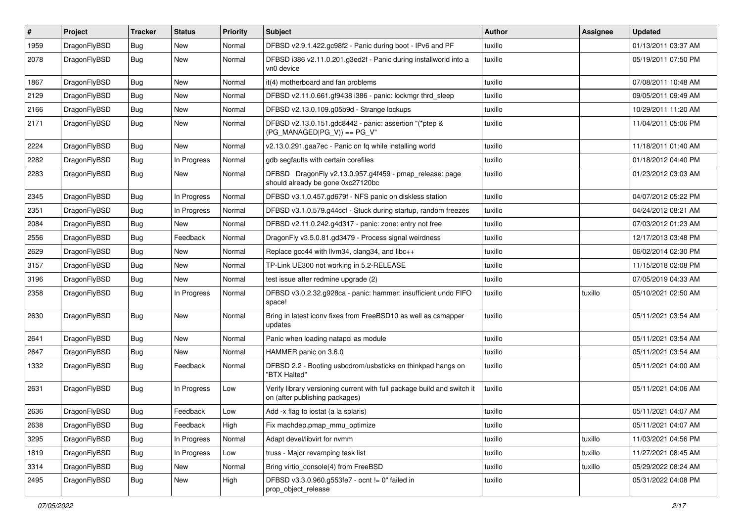| #    | Project      | <b>Tracker</b> | <b>Status</b> | <b>Priority</b> | <b>Subject</b>                                                                                            | <b>Author</b> | Assignee | <b>Updated</b>      |
|------|--------------|----------------|---------------|-----------------|-----------------------------------------------------------------------------------------------------------|---------------|----------|---------------------|
| 1959 | DragonFlyBSD | <b>Bug</b>     | New           | Normal          | DFBSD v2.9.1.422.gc98f2 - Panic during boot - IPv6 and PF                                                 | tuxillo       |          | 01/13/2011 03:37 AM |
| 2078 | DragonFlyBSD | <b>Bug</b>     | New           | Normal          | DFBSD i386 v2.11.0.201.g3ed2f - Panic during installworld into a<br>vn0 device                            | tuxillo       |          | 05/19/2011 07:50 PM |
| 1867 | DragonFlyBSD | Bug            | <b>New</b>    | Normal          | it(4) motherboard and fan problems                                                                        | tuxillo       |          | 07/08/2011 10:48 AM |
| 2129 | DragonFlyBSD | <b>Bug</b>     | <b>New</b>    | Normal          | DFBSD v2.11.0.661.gf9438 i386 - panic: lockmgr thrd_sleep                                                 | tuxillo       |          | 09/05/2011 09:49 AM |
| 2166 | DragonFlyBSD | <b>Bug</b>     | <b>New</b>    | Normal          | DFBSD v2.13.0.109.g05b9d - Strange lockups                                                                | tuxillo       |          | 10/29/2011 11:20 AM |
| 2171 | DragonFlyBSD | Bug            | New           | Normal          | DFBSD v2.13.0.151.gdc8442 - panic: assertion "(*ptep &<br>$(PG_MANAGED PG_V)) == PG_V"$                   | tuxillo       |          | 11/04/2011 05:06 PM |
| 2224 | DragonFlyBSD | <b>Bug</b>     | <b>New</b>    | Normal          | v2.13.0.291.gaa7ec - Panic on fq while installing world                                                   | tuxillo       |          | 11/18/2011 01:40 AM |
| 2282 | DragonFlyBSD | <b>Bug</b>     | In Progress   | Normal          | gdb segfaults with certain corefiles                                                                      | tuxillo       |          | 01/18/2012 04:40 PM |
| 2283 | DragonFlyBSD | <b>Bug</b>     | New           | Normal          | DFBSD DragonFly v2.13.0.957.g4f459 - pmap_release: page<br>should already be gone 0xc27120bc              | tuxillo       |          | 01/23/2012 03:03 AM |
| 2345 | DragonFlyBSD | <b>Bug</b>     | In Progress   | Normal          | DFBSD v3.1.0.457.gd679f - NFS panic on diskless station                                                   | tuxillo       |          | 04/07/2012 05:22 PM |
| 2351 | DragonFlyBSD | <b>Bug</b>     | In Progress   | Normal          | DFBSD v3.1.0.579.g44ccf - Stuck during startup, random freezes                                            | tuxillo       |          | 04/24/2012 08:21 AM |
| 2084 | DragonFlyBSD | <b>Bug</b>     | <b>New</b>    | Normal          | DFBSD v2.11.0.242.g4d317 - panic: zone: entry not free                                                    | tuxillo       |          | 07/03/2012 01:23 AM |
| 2556 | DragonFlyBSD | <b>Bug</b>     | Feedback      | Normal          | DragonFly v3.5.0.81.gd3479 - Process signal weirdness                                                     | tuxillo       |          | 12/17/2013 03:48 PM |
| 2629 | DragonFlyBSD | <b>Bug</b>     | <b>New</b>    | Normal          | Replace gcc44 with llvm34, clang34, and libc++                                                            | tuxillo       |          | 06/02/2014 02:30 PM |
| 3157 | DragonFlyBSD | Bug            | <b>New</b>    | Normal          | TP-Link UE300 not working in 5.2-RELEASE                                                                  | tuxillo       |          | 11/15/2018 02:08 PM |
| 3196 | DragonFlyBSD | <b>Bug</b>     | New           | Normal          | test issue after redmine upgrade (2)                                                                      | tuxillo       |          | 07/05/2019 04:33 AM |
| 2358 | DragonFlyBSD | Bug            | In Progress   | Normal          | DFBSD v3.0.2.32.g928ca - panic: hammer: insufficient undo FIFO<br>space!                                  | tuxillo       | tuxillo  | 05/10/2021 02:50 AM |
| 2630 | DragonFlyBSD | Bug            | <b>New</b>    | Normal          | Bring in latest iconv fixes from FreeBSD10 as well as csmapper<br>updates                                 | tuxillo       |          | 05/11/2021 03:54 AM |
| 2641 | DragonFlyBSD | <b>Bug</b>     | <b>New</b>    | Normal          | Panic when loading natapci as module                                                                      | tuxillo       |          | 05/11/2021 03:54 AM |
| 2647 | DragonFlyBSD | <b>Bug</b>     | New           | Normal          | HAMMER panic on 3.6.0                                                                                     | tuxillo       |          | 05/11/2021 03:54 AM |
| 1332 | DragonFlyBSD | <b>Bug</b>     | Feedback      | Normal          | DFBSD 2.2 - Booting usbcdrom/usbsticks on thinkpad hangs on<br>"BTX Halted"                               | tuxillo       |          | 05/11/2021 04:00 AM |
| 2631 | DragonFlyBSD | Bug            | In Progress   | Low             | Verify library versioning current with full package build and switch it<br>on (after publishing packages) | tuxillo       |          | 05/11/2021 04:06 AM |
| 2636 | DragonFlyBSD | <b>Bug</b>     | Feedback      | Low             | Add -x flag to iostat (a la solaris)                                                                      | tuxillo       |          | 05/11/2021 04:07 AM |
| 2638 | DragonFlyBSD | Bug            | Feedback      | High            | Fix machdep.pmap_mmu_optimize                                                                             | tuxillo       |          | 05/11/2021 04:07 AM |
| 3295 | DragonFlyBSD | Bug            | In Progress   | Normal          | Adapt devel/libvirt for nvmm                                                                              | tuxillo       | tuxillo  | 11/03/2021 04:56 PM |
| 1819 | DragonFlyBSD | <b>Bug</b>     | In Progress   | Low             | truss - Major revamping task list                                                                         | tuxillo       | tuxillo  | 11/27/2021 08:45 AM |
| 3314 | DragonFlyBSD | Bug            | New           | Normal          | Bring virtio_console(4) from FreeBSD                                                                      | tuxillo       | tuxillo  | 05/29/2022 08:24 AM |
| 2495 | DragonFlyBSD | <b>Bug</b>     | New           | High            | DFBSD v3.3.0.960.g553fe7 - ocnt != 0" failed in<br>prop_object_release                                    | tuxillo       |          | 05/31/2022 04:08 PM |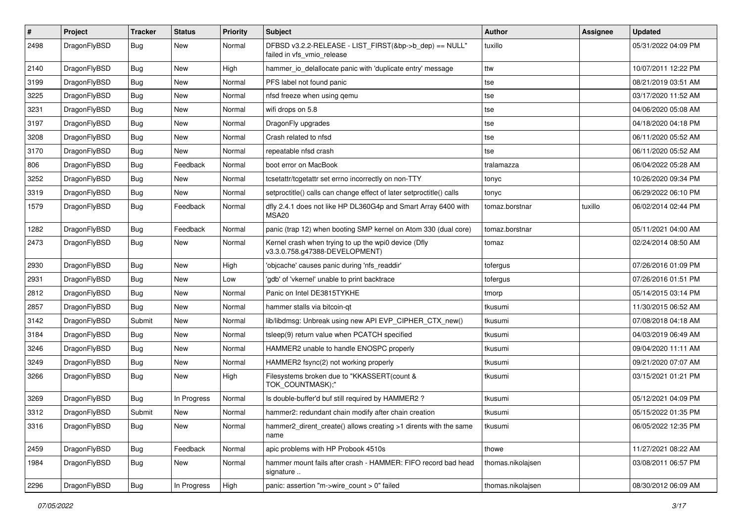| #    | Project      | <b>Tracker</b> | <b>Status</b> | <b>Priority</b> | Subject                                                                                | Author            | <b>Assignee</b> | <b>Updated</b>      |
|------|--------------|----------------|---------------|-----------------|----------------------------------------------------------------------------------------|-------------------|-----------------|---------------------|
| 2498 | DragonFlyBSD | Bug            | New           | Normal          | DFBSD v3.2.2-RELEASE - LIST_FIRST(&bp->b_dep) == NULL"<br>failed in vfs_vmio_release   | tuxillo           |                 | 05/31/2022 04:09 PM |
| 2140 | DragonFlyBSD | Bug            | <b>New</b>    | High            | hammer_io_delallocate panic with 'duplicate entry' message                             | ttw               |                 | 10/07/2011 12:22 PM |
| 3199 | DragonFlyBSD | Bug            | New           | Normal          | PFS label not found panic                                                              | tse               |                 | 08/21/2019 03:51 AM |
| 3225 | DragonFlyBSD | Bug            | <b>New</b>    | Normal          | nfsd freeze when using gemu                                                            | tse               |                 | 03/17/2020 11:52 AM |
| 3231 | DragonFlyBSD | <b>Bug</b>     | New           | Normal          | wifi drops on 5.8                                                                      | tse               |                 | 04/06/2020 05:08 AM |
| 3197 | DragonFlyBSD | Bug            | <b>New</b>    | Normal          | DragonFly upgrades                                                                     | tse               |                 | 04/18/2020 04:18 PM |
| 3208 | DragonFlyBSD | <b>Bug</b>     | New           | Normal          | Crash related to nfsd                                                                  | tse               |                 | 06/11/2020 05:52 AM |
| 3170 | DragonFlyBSD | <b>Bug</b>     | New           | Normal          | repeatable nfsd crash                                                                  | tse               |                 | 06/11/2020 05:52 AM |
| 806  | DragonFlyBSD | <b>Bug</b>     | Feedback      | Normal          | boot error on MacBook                                                                  | tralamazza        |                 | 06/04/2022 05:28 AM |
| 3252 | DragonFlyBSD | <b>Bug</b>     | <b>New</b>    | Normal          | tcsetattr/tcgetattr set errno incorrectly on non-TTY                                   | tonyc             |                 | 10/26/2020 09:34 PM |
| 3319 | DragonFlyBSD | Bug            | New           | Normal          | setproctitle() calls can change effect of later setproctitle() calls                   | tonyc             |                 | 06/29/2022 06:10 PM |
| 1579 | DragonFlyBSD | <b>Bug</b>     | Feedback      | Normal          | dfly 2.4.1 does not like HP DL360G4p and Smart Array 6400 with<br>MSA20                | tomaz.borstnar    | tuxillo         | 06/02/2014 02:44 PM |
| 1282 | DragonFlyBSD | Bug            | Feedback      | Normal          | panic (trap 12) when booting SMP kernel on Atom 330 (dual core)                        | tomaz.borstnar    |                 | 05/11/2021 04:00 AM |
| 2473 | DragonFlyBSD | <b>Bug</b>     | New           | Normal          | Kernel crash when trying to up the wpi0 device (Dfly<br>v3.3.0.758.g47388-DEVELOPMENT) | tomaz             |                 | 02/24/2014 08:50 AM |
| 2930 | DragonFlyBSD | Bug            | <b>New</b>    | High            | 'objcache' causes panic during 'nfs_readdir'                                           | tofergus          |                 | 07/26/2016 01:09 PM |
| 2931 | DragonFlyBSD | Bug            | New           | Low             | 'gdb' of 'vkernel' unable to print backtrace                                           | tofergus          |                 | 07/26/2016 01:51 PM |
| 2812 | DragonFlyBSD | Bug            | <b>New</b>    | Normal          | Panic on Intel DE3815TYKHE                                                             | tmorp             |                 | 05/14/2015 03:14 PM |
| 2857 | DragonFlyBSD | <b>Bug</b>     | New           | Normal          | hammer stalls via bitcoin-qt                                                           | tkusumi           |                 | 11/30/2015 06:52 AM |
| 3142 | DragonFlyBSD | Submit         | <b>New</b>    | Normal          | lib/libdmsg: Unbreak using new API EVP_CIPHER_CTX_new()                                | tkusumi           |                 | 07/08/2018 04:18 AM |
| 3184 | DragonFlyBSD | Bug            | <b>New</b>    | Normal          | tsleep(9) return value when PCATCH specified                                           | tkusumi           |                 | 04/03/2019 06:49 AM |
| 3246 | DragonFlyBSD | <b>Bug</b>     | New           | Normal          | HAMMER2 unable to handle ENOSPC properly                                               | tkusumi           |                 | 09/04/2020 11:11 AM |
| 3249 | DragonFlyBSD | <b>Bug</b>     | New           | Normal          | HAMMER2 fsync(2) not working properly                                                  | tkusumi           |                 | 09/21/2020 07:07 AM |
| 3266 | DragonFlyBSD | Bug            | New           | High            | Filesystems broken due to "KKASSERT(count &<br>TOK_COUNTMASK);"                        | tkusumi           |                 | 03/15/2021 01:21 PM |
| 3269 | DragonFlyBSD | Bug            | In Progress   | Normal          | Is double-buffer'd buf still required by HAMMER2?                                      | tkusumi           |                 | 05/12/2021 04:09 PM |
| 3312 | DragonFlyBSD | Submit         | New           | Normal          | hammer2: redundant chain modify after chain creation                                   | tkusumi           |                 | 05/15/2022 01:35 PM |
| 3316 | DragonFlyBSD | <b>Bug</b>     | New           | Normal          | hammer2_dirent_create() allows creating >1 dirents with the same<br>name               | tkusumi           |                 | 06/05/2022 12:35 PM |
| 2459 | DragonFlyBSD | <b>Bug</b>     | Feedback      | Normal          | apic problems with HP Probook 4510s                                                    | thowe             |                 | 11/27/2021 08:22 AM |
| 1984 | DragonFlyBSD | <b>Bug</b>     | New           | Normal          | hammer mount fails after crash - HAMMER: FIFO record bad head<br>signature             | thomas.nikolajsen |                 | 03/08/2011 06:57 PM |
| 2296 | DragonFlyBSD | Bug            | In Progress   | High            | panic: assertion "m->wire count > 0" failed                                            | thomas.nikolajsen |                 | 08/30/2012 06:09 AM |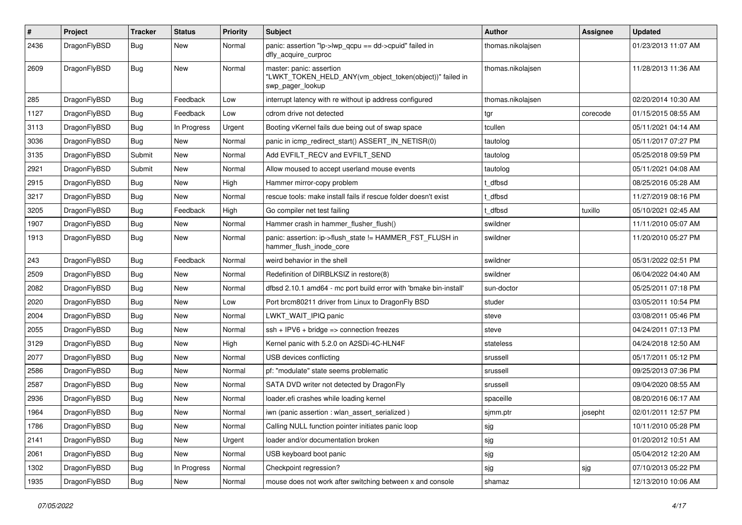| $\vert$ # | Project      | <b>Tracker</b> | <b>Status</b> | <b>Priority</b> | <b>Subject</b>                                                                                           | Author            | Assignee | <b>Updated</b>      |
|-----------|--------------|----------------|---------------|-----------------|----------------------------------------------------------------------------------------------------------|-------------------|----------|---------------------|
| 2436      | DragonFlyBSD | Bug            | New           | Normal          | panic: assertion "lp->lwp_qcpu == dd->cpuid" failed in<br>dfly_acquire_curproc                           | thomas.nikolajsen |          | 01/23/2013 11:07 AM |
| 2609      | DragonFlyBSD | Bug            | New           | Normal          | master: panic: assertion<br>"LWKT_TOKEN_HELD_ANY(vm_object_token(object))" failed in<br>swp_pager_lookup | thomas.nikolajsen |          | 11/28/2013 11:36 AM |
| 285       | DragonFlyBSD | <b>Bug</b>     | Feedback      | Low             | interrupt latency with re without ip address configured                                                  | thomas.nikolajsen |          | 02/20/2014 10:30 AM |
| 1127      | DragonFlyBSD | Bug            | Feedback      | Low             | cdrom drive not detected                                                                                 | tgr               | corecode | 01/15/2015 08:55 AM |
| 3113      | DragonFlyBSD | <b>Bug</b>     | In Progress   | Urgent          | Booting vKernel fails due being out of swap space                                                        | tcullen           |          | 05/11/2021 04:14 AM |
| 3036      | DragonFlyBSD | <b>Bug</b>     | New           | Normal          | panic in icmp_redirect_start() ASSERT_IN_NETISR(0)                                                       | tautolog          |          | 05/11/2017 07:27 PM |
| 3135      | DragonFlyBSD | Submit         | <b>New</b>    | Normal          | Add EVFILT_RECV and EVFILT_SEND                                                                          | tautolog          |          | 05/25/2018 09:59 PM |
| 2921      | DragonFlyBSD | Submit         | New           | Normal          | Allow moused to accept userland mouse events                                                             | tautolog          |          | 05/11/2021 04:08 AM |
| 2915      | DragonFlyBSD | Bug            | <b>New</b>    | High            | Hammer mirror-copy problem                                                                               | t dfbsd           |          | 08/25/2016 05:28 AM |
| 3217      | DragonFlyBSD | Bug            | New           | Normal          | rescue tools: make install fails if rescue folder doesn't exist                                          | t dfbsd           |          | 11/27/2019 08:16 PM |
| 3205      | DragonFlyBSD | <b>Bug</b>     | Feedback      | High            | Go compiler net test failing                                                                             | t dfbsd           | tuxillo  | 05/10/2021 02:45 AM |
| 1907      | DragonFlyBSD | <b>Bug</b>     | <b>New</b>    | Normal          | Hammer crash in hammer flusher flush()                                                                   | swildner          |          | 11/11/2010 05:07 AM |
| 1913      | DragonFlyBSD | <b>Bug</b>     | New           | Normal          | panic: assertion: ip->flush_state != HAMMER_FST_FLUSH in<br>hammer_flush_inode_core                      | swildner          |          | 11/20/2010 05:27 PM |
| 243       | DragonFlyBSD | Bug            | Feedback      | Normal          | weird behavior in the shell                                                                              | swildner          |          | 05/31/2022 02:51 PM |
| 2509      | DragonFlyBSD | <b>Bug</b>     | New           | Normal          | Redefinition of DIRBLKSIZ in restore(8)                                                                  | swildner          |          | 06/04/2022 04:40 AM |
| 2082      | DragonFlyBSD | Bug            | <b>New</b>    | Normal          | dfbsd 2.10.1 amd64 - mc port build error with 'bmake bin-install'                                        | sun-doctor        |          | 05/25/2011 07:18 PM |
| 2020      | DragonFlyBSD | <b>Bug</b>     | New           | Low             | Port brcm80211 driver from Linux to DragonFly BSD                                                        | studer            |          | 03/05/2011 10:54 PM |
| 2004      | DragonFlyBSD | Bug            | <b>New</b>    | Normal          | LWKT_WAIT_IPIQ panic                                                                                     | steve             |          | 03/08/2011 05:46 PM |
| 2055      | DragonFlyBSD | Bug            | <b>New</b>    | Normal          | $ssh + IPV6 + bridge \Rightarrow connection freezes$                                                     | steve             |          | 04/24/2011 07:13 PM |
| 3129      | DragonFlyBSD | Bug            | <b>New</b>    | High            | Kernel panic with 5.2.0 on A2SDi-4C-HLN4F                                                                | stateless         |          | 04/24/2018 12:50 AM |
| 2077      | DragonFlyBSD | Bug            | New           | Normal          | USB devices conflicting                                                                                  | srussell          |          | 05/17/2011 05:12 PM |
| 2586      | DragonFlyBSD | Bug            | New           | Normal          | pf: "modulate" state seems problematic                                                                   | srussell          |          | 09/25/2013 07:36 PM |
| 2587      | DragonFlyBSD | Bug            | New           | Normal          | SATA DVD writer not detected by DragonFly                                                                | srussell          |          | 09/04/2020 08:55 AM |
| 2936      | DragonFlyBSD | <b>Bug</b>     | <b>New</b>    | Normal          | loader.efi crashes while loading kernel                                                                  | spaceille         |          | 08/20/2016 06:17 AM |
| 1964      | DragonFlyBSD | <b>Bug</b>     | New           | Normal          | iwn (panic assertion : wlan assert serialized)                                                           | sjmm.ptr          | josepht  | 02/01/2011 12:57 PM |
| 1786      | DragonFlyBSD | <b>Bug</b>     | New           | Normal          | Calling NULL function pointer initiates panic loop                                                       | sjg               |          | 10/11/2010 05:28 PM |
| 2141      | DragonFlyBSD | Bug            | New           | Urgent          | loader and/or documentation broken                                                                       | sjg               |          | 01/20/2012 10:51 AM |
| 2061      | DragonFlyBSD | <b>Bug</b>     | New           | Normal          | USB keyboard boot panic                                                                                  | sjg               |          | 05/04/2012 12:20 AM |
| 1302      | DragonFlyBSD | <b>Bug</b>     | In Progress   | Normal          | Checkpoint regression?                                                                                   | sjg               | sjg      | 07/10/2013 05:22 PM |
| 1935      | DragonFlyBSD | <b>Bug</b>     | New           | Normal          | mouse does not work after switching between x and console                                                | shamaz            |          | 12/13/2010 10:06 AM |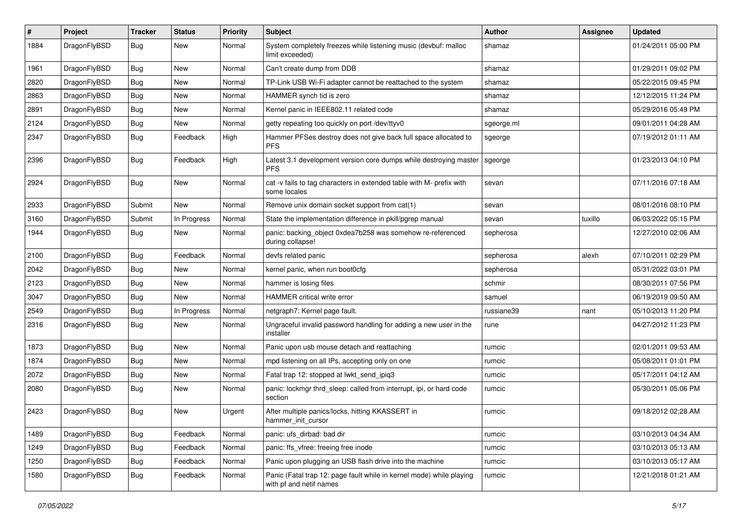| $\vert$ # | Project      | <b>Tracker</b> | <b>Status</b> | <b>Priority</b> | Subject                                                                                         | Author     | <b>Assignee</b> | <b>Updated</b>      |
|-----------|--------------|----------------|---------------|-----------------|-------------------------------------------------------------------------------------------------|------------|-----------------|---------------------|
| 1884      | DragonFlyBSD | Bug            | New           | Normal          | System completely freezes while listening music (devbuf: malloc<br>limit exceeded)              | shamaz     |                 | 01/24/2011 05:00 PM |
| 1961      | DragonFlyBSD | <b>Bug</b>     | <b>New</b>    | Normal          | Can't create dump from DDB                                                                      | shamaz     |                 | 01/29/2011 09:02 PM |
| 2820      | DragonFlyBSD | Bug            | <b>New</b>    | Normal          | TP-Link USB Wi-Fi adapter cannot be reattached to the system                                    | shamaz     |                 | 05/22/2015 09:45 PM |
| 2863      | DragonFlyBSD | Bug            | <b>New</b>    | Normal          | HAMMER synch tid is zero                                                                        | shamaz     |                 | 12/12/2015 11:24 PM |
| 2891      | DragonFlyBSD | <b>Bug</b>     | New           | Normal          | Kernel panic in IEEE802.11 related code                                                         | shamaz     |                 | 05/29/2016 05:49 PM |
| 2124      | DragonFlyBSD | Bug            | <b>New</b>    | Normal          | getty repeating too quickly on port /dev/ttyv0                                                  | sgeorge.ml |                 | 09/01/2011 04:28 AM |
| 2347      | DragonFlyBSD | Bug            | Feedback      | High            | Hammer PFSes destroy does not give back full space allocated to<br><b>PFS</b>                   | sgeorge    |                 | 07/19/2012 01:11 AM |
| 2396      | DragonFlyBSD | Bug            | Feedback      | High            | Latest 3.1 development version core dumps while destroying master<br><b>PFS</b>                 | sgeorge    |                 | 01/23/2013 04:10 PM |
| 2924      | DragonFlyBSD | <b>Bug</b>     | New           | Normal          | cat -v fails to tag characters in extended table with M- prefix with<br>some locales            | sevan      |                 | 07/11/2016 07:18 AM |
| 2933      | DragonFlyBSD | Submit         | New           | Normal          | Remove unix domain socket support from cat(1)                                                   | sevan      |                 | 08/01/2016 08:10 PM |
| 3160      | DragonFlyBSD | Submit         | In Progress   | Normal          | State the implementation difference in pkill/pgrep manual                                       | sevan      | tuxillo         | 06/03/2022 05:15 PM |
| 1944      | DragonFlyBSD | Bug            | New           | Normal          | panic: backing object 0xdea7b258 was somehow re-referenced<br>during collapse!                  | sepherosa  |                 | 12/27/2010 02:06 AM |
| 2100      | DragonFlyBSD | Bug            | Feedback      | Normal          | devfs related panic                                                                             | sepherosa  | alexh           | 07/10/2011 02:29 PM |
| 2042      | DragonFlyBSD | <b>Bug</b>     | New           | Normal          | kernel panic, when run boot0cfg                                                                 | sepherosa  |                 | 05/31/2022 03:01 PM |
| 2123      | DragonFlyBSD | Bug            | New           | Normal          | hammer is losing files                                                                          | schmir     |                 | 08/30/2011 07:56 PM |
| 3047      | DragonFlyBSD | Bug            | New           | Normal          | HAMMER critical write error                                                                     | samuel     |                 | 06/19/2019 09:50 AM |
| 2549      | DragonFlyBSD | <b>Bug</b>     | In Progress   | Normal          | netgraph7: Kernel page fault.                                                                   | russiane39 | nant            | 05/10/2013 11:20 PM |
| 2316      | DragonFlyBSD | Bug            | New           | Normal          | Ungraceful invalid password handling for adding a new user in the<br>installer                  | rune       |                 | 04/27/2012 11:23 PM |
| 1873      | DragonFlyBSD | Bug            | <b>New</b>    | Normal          | Panic upon usb mouse detach and reattaching                                                     | rumcic     |                 | 02/01/2011 09:53 AM |
| 1874      | DragonFlyBSD | <b>Bug</b>     | <b>New</b>    | Normal          | mpd listening on all IPs, accepting only on one                                                 | rumcic     |                 | 05/08/2011 01:01 PM |
| 2072      | DragonFlyBSD | <b>Bug</b>     | New           | Normal          | Fatal trap 12: stopped at lwkt_send_ipiq3                                                       | rumcic     |                 | 05/17/2011 04:12 AM |
| 2080      | DragonFlyBSD | Bug            | New           | Normal          | panic: lockmgr thrd_sleep: called from interrupt, ipi, or hard code<br>section                  | rumcic     |                 | 05/30/2011 05:06 PM |
| 2423      | DragonFlyBSD | <b>Bug</b>     | <b>New</b>    | Urgent          | After multiple panics/locks, hitting KKASSERT in<br>hammer_init_cursor                          | rumcic     |                 | 09/18/2012 02:28 AM |
| 1489      | DragonFlyBSD | Bug            | Feedback      | Normal          | panic: ufs_dirbad: bad dir                                                                      | rumcic     |                 | 03/10/2013 04:34 AM |
| 1249      | DragonFlyBSD | <b>Bug</b>     | Feedback      | Normal          | panic: ffs_vfree: freeing free inode                                                            | rumcic     |                 | 03/10/2013 05:13 AM |
| 1250      | DragonFlyBSD | Bug            | Feedback      | Normal          | Panic upon plugging an USB flash drive into the machine                                         | rumcic     |                 | 03/10/2013 05:17 AM |
| 1580      | DragonFlyBSD | <b>Bug</b>     | Feedback      | Normal          | Panic (Fatal trap 12: page fault while in kernel mode) while playing<br>with pf and netif names | rumcic     |                 | 12/21/2018 01:21 AM |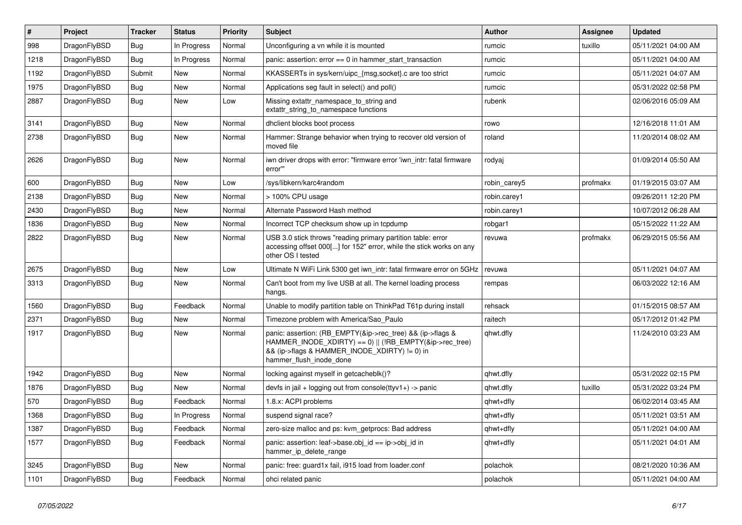| $\pmb{\#}$ | <b>Project</b> | <b>Tracker</b> | <b>Status</b> | Priority | <b>Subject</b>                                                                                                                                                                                    | <b>Author</b> | Assignee | <b>Updated</b>      |
|------------|----------------|----------------|---------------|----------|---------------------------------------------------------------------------------------------------------------------------------------------------------------------------------------------------|---------------|----------|---------------------|
| 998        | DragonFlyBSD   | Bug            | In Progress   | Normal   | Unconfiguring a vn while it is mounted                                                                                                                                                            | rumcic        | tuxillo  | 05/11/2021 04:00 AM |
| 1218       | DragonFlyBSD   | Bug            | In Progress   | Normal   | panic: assertion: $error == 0$ in hammer_start_transaction                                                                                                                                        | rumcic        |          | 05/11/2021 04:00 AM |
| 1192       | DragonFlyBSD   | Submit         | <b>New</b>    | Normal   | KKASSERTs in sys/kern/uipc {msg, socket}.c are too strict                                                                                                                                         | rumcic        |          | 05/11/2021 04:07 AM |
| 1975       | DragonFlyBSD   | Bug            | <b>New</b>    | Normal   | Applications seg fault in select() and poll()                                                                                                                                                     | rumcic        |          | 05/31/2022 02:58 PM |
| 2887       | DragonFlyBSD   | <b>Bug</b>     | New           | Low      | Missing extattr namespace to string and<br>extattr string to namespace functions                                                                                                                  | rubenk        |          | 02/06/2016 05:09 AM |
| 3141       | DragonFlyBSD   | Bug            | <b>New</b>    | Normal   | dhclient blocks boot process                                                                                                                                                                      | rowo          |          | 12/16/2018 11:01 AM |
| 2738       | DragonFlyBSD   | <b>Bug</b>     | <b>New</b>    | Normal   | Hammer: Strange behavior when trying to recover old version of<br>moved file                                                                                                                      | roland        |          | 11/20/2014 08:02 AM |
| 2626       | DragonFlyBSD   | <b>Bug</b>     | <b>New</b>    | Normal   | iwn driver drops with error: "firmware error 'iwn intr: fatal firmware<br>error"                                                                                                                  | rodyaj        |          | 01/09/2014 05:50 AM |
| 600        | DragonFlyBSD   | Bug            | <b>New</b>    | Low      | /sys/libkern/karc4random                                                                                                                                                                          | robin carey5  | profmakx | 01/19/2015 03:07 AM |
| 2138       | DragonFlyBSD   | <b>Bug</b>     | <b>New</b>    | Normal   | > 100% CPU usage                                                                                                                                                                                  | robin.carey1  |          | 09/26/2011 12:20 PM |
| 2430       | DragonFlyBSD   | Bug            | <b>New</b>    | Normal   | Alternate Password Hash method                                                                                                                                                                    | robin.carey1  |          | 10/07/2012 06:28 AM |
| 1836       | DragonFlyBSD   | Bug            | <b>New</b>    | Normal   | Incorrect TCP checksum show up in tcpdump                                                                                                                                                         | robgar1       |          | 05/15/2022 11:22 AM |
| 2822       | DragonFlyBSD   | <b>Bug</b>     | <b>New</b>    | Normal   | USB 3.0 stick throws "reading primary partition table: error<br>accessing offset 000[] for 152" error, while the stick works on any<br>other OS I tested                                          | revuwa        | profmakx | 06/29/2015 05:56 AM |
| 2675       | DragonFlyBSD   | Bug            | New           | Low      | Ultimate N WiFi Link 5300 get iwn intr: fatal firmware error on 5GHz                                                                                                                              | revuwa        |          | 05/11/2021 04:07 AM |
| 3313       | DragonFlyBSD   | <b>Bug</b>     | <b>New</b>    | Normal   | Can't boot from my live USB at all. The kernel loading process<br>hangs.                                                                                                                          | rempas        |          | 06/03/2022 12:16 AM |
| 1560       | DragonFlyBSD   | Bug            | Feedback      | Normal   | Unable to modify partition table on ThinkPad T61p during install                                                                                                                                  | rehsack       |          | 01/15/2015 08:57 AM |
| 2371       | DragonFlyBSD   | <b>Bug</b>     | <b>New</b>    | Normal   | Timezone problem with America/Sao Paulo                                                                                                                                                           | raitech       |          | 05/17/2012 01:42 PM |
| 1917       | DragonFlyBSD   | <b>Bug</b>     | <b>New</b>    | Normal   | panic: assertion: (RB EMPTY(&ip->rec tree) && (ip->flags &<br>HAMMER_INODE_XDIRTY) == 0)    (!RB_EMPTY(&ip->rec_tree)<br>&& (ip->flags & HAMMER_INODE_XDIRTY) != 0) in<br>hammer flush inode done | qhwt.dfly     |          | 11/24/2010 03:23 AM |
| 1942       | DragonFlyBSD   | Bug            | <b>New</b>    | Normal   | locking against myself in getcacheblk()?                                                                                                                                                          | qhwt.dfly     |          | 05/31/2022 02:15 PM |
| 1876       | DragonFlyBSD   | Bug            | <b>New</b>    | Normal   | devfs in jail + logging out from console(ttyv1+) -> panic                                                                                                                                         | qhwt.dfly     | tuxillo  | 05/31/2022 03:24 PM |
| 570        | DragonFlyBSD   | Bug            | Feedback      | Normal   | 1.8.x: ACPI problems                                                                                                                                                                              | qhwt+dfly     |          | 06/02/2014 03:45 AM |
| 1368       | DragonFlyBSD   | <b>Bug</b>     | In Progress   | Normal   | suspend signal race?                                                                                                                                                                              | qhwt+dfly     |          | 05/11/2021 03:51 AM |
| 1387       | DragonFlyBSD   | Bug            | Feedback      | Normal   | zero-size malloc and ps: kvm getprocs: Bad address                                                                                                                                                | qhwt+dfly     |          | 05/11/2021 04:00 AM |
| 1577       | DragonFlyBSD   | Bug            | Feedback      | Normal   | panic: assertion: leaf->base.obj id == ip->obj id in<br>hammer_ip_delete_range                                                                                                                    | qhwt+dfly     |          | 05/11/2021 04:01 AM |
| 3245       | DragonFlyBSD   | <b>Bug</b>     | New           | Normal   | panic: free: guard1x fail, i915 load from loader.conf                                                                                                                                             | polachok      |          | 08/21/2020 10:36 AM |
| 1101       | DragonFlyBSD   | Bug            | Feedback      | Normal   | ohci related panic                                                                                                                                                                                | polachok      |          | 05/11/2021 04:00 AM |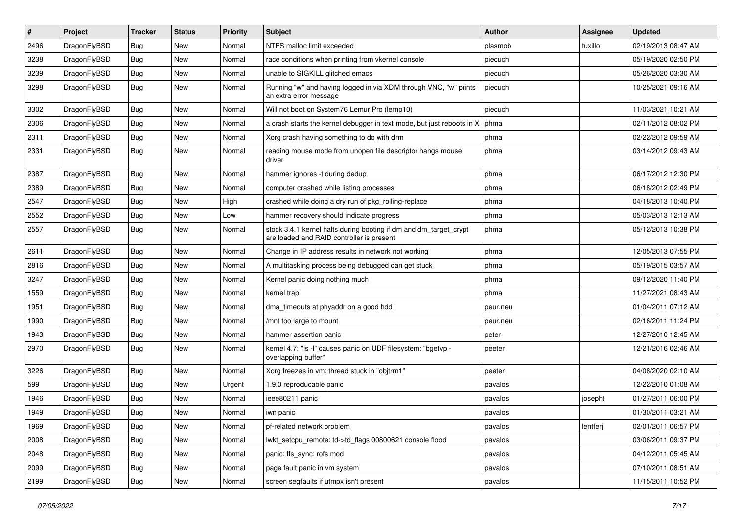| $\vert$ # | Project      | <b>Tracker</b> | <b>Status</b> | <b>Priority</b> | <b>Subject</b>                                                                                                 | <b>Author</b> | Assignee | <b>Updated</b>      |
|-----------|--------------|----------------|---------------|-----------------|----------------------------------------------------------------------------------------------------------------|---------------|----------|---------------------|
| 2496      | DragonFlyBSD | Bug            | <b>New</b>    | Normal          | NTFS malloc limit exceeded                                                                                     | plasmob       | tuxillo  | 02/19/2013 08:47 AM |
| 3238      | DragonFlyBSD | <b>Bug</b>     | <b>New</b>    | Normal          | race conditions when printing from vkernel console                                                             | piecuch       |          | 05/19/2020 02:50 PM |
| 3239      | DragonFlyBSD | <b>Bug</b>     | <b>New</b>    | Normal          | unable to SIGKILL glitched emacs                                                                               | piecuch       |          | 05/26/2020 03:30 AM |
| 3298      | DragonFlyBSD | <b>Bug</b>     | New           | Normal          | Running "w" and having logged in via XDM through VNC, "w" prints<br>an extra error message                     | piecuch       |          | 10/25/2021 09:16 AM |
| 3302      | DragonFlyBSD | <b>Bug</b>     | New           | Normal          | Will not boot on System76 Lemur Pro (lemp10)                                                                   | piecuch       |          | 11/03/2021 10:21 AM |
| 2306      | DragonFlyBSD | Bug            | <b>New</b>    | Normal          | a crash starts the kernel debugger in text mode, but just reboots in X                                         | phma          |          | 02/11/2012 08:02 PM |
| 2311      | DragonFlyBSD | <b>Bug</b>     | <b>New</b>    | Normal          | Xorg crash having something to do with drm                                                                     | phma          |          | 02/22/2012 09:59 AM |
| 2331      | DragonFlyBSD | <b>Bug</b>     | <b>New</b>    | Normal          | reading mouse mode from unopen file descriptor hangs mouse<br>driver                                           | phma          |          | 03/14/2012 09:43 AM |
| 2387      | DragonFlyBSD | Bug            | <b>New</b>    | Normal          | hammer ignores -t during dedup                                                                                 | phma          |          | 06/17/2012 12:30 PM |
| 2389      | DragonFlyBSD | Bug            | New           | Normal          | computer crashed while listing processes                                                                       | phma          |          | 06/18/2012 02:49 PM |
| 2547      | DragonFlyBSD | <b>Bug</b>     | <b>New</b>    | High            | crashed while doing a dry run of pkg rolling-replace                                                           | phma          |          | 04/18/2013 10:40 PM |
| 2552      | DragonFlyBSD | <b>Bug</b>     | New           | Low             | hammer recovery should indicate progress                                                                       | phma          |          | 05/03/2013 12:13 AM |
| 2557      | DragonFlyBSD | Bug            | <b>New</b>    | Normal          | stock 3.4.1 kernel halts during booting if dm and dm_target_crypt<br>are loaded and RAID controller is present | phma          |          | 05/12/2013 10:38 PM |
| 2611      | DragonFlyBSD | <b>Bug</b>     | <b>New</b>    | Normal          | Change in IP address results in network not working                                                            | phma          |          | 12/05/2013 07:55 PM |
| 2816      | DragonFlyBSD | <b>Bug</b>     | <b>New</b>    | Normal          | A multitasking process being debugged can get stuck                                                            | phma          |          | 05/19/2015 03:57 AM |
| 3247      | DragonFlyBSD | <b>Bug</b>     | <b>New</b>    | Normal          | Kernel panic doing nothing much                                                                                | phma          |          | 09/12/2020 11:40 PM |
| 1559      | DragonFlyBSD | Bug            | <b>New</b>    | Normal          | kernel trap                                                                                                    | phma          |          | 11/27/2021 08:43 AM |
| 1951      | DragonFlyBSD | <b>Bug</b>     | <b>New</b>    | Normal          | dma timeouts at phyaddr on a good hdd                                                                          | peur.neu      |          | 01/04/2011 07:12 AM |
| 1990      | DragonFlyBSD | <b>Bug</b>     | <b>New</b>    | Normal          | /mnt too large to mount                                                                                        | peur.neu      |          | 02/16/2011 11:24 PM |
| 1943      | DragonFlyBSD | Bug            | <b>New</b>    | Normal          | hammer assertion panic                                                                                         | peter         |          | 12/27/2010 12:45 AM |
| 2970      | DragonFlyBSD | <b>Bug</b>     | <b>New</b>    | Normal          | kernel 4.7: "Is -I" causes panic on UDF filesystem: "bgetvp -<br>overlapping buffer"                           | peeter        |          | 12/21/2016 02:46 AM |
| 3226      | DragonFlyBSD | Bug            | <b>New</b>    | Normal          | Xorg freezes in vm: thread stuck in "objtrm1"                                                                  | peeter        |          | 04/08/2020 02:10 AM |
| 599       | DragonFlyBSD | <b>Bug</b>     | <b>New</b>    | Urgent          | 1.9.0 reproducable panic                                                                                       | pavalos       |          | 12/22/2010 01:08 AM |
| 1946      | DragonFlyBSD | Bug            | New           | Normal          | ieee80211 panic                                                                                                | pavalos       | josepht  | 01/27/2011 06:00 PM |
| 1949      | DragonFlyBSD | <b>Bug</b>     | New           | Normal          | iwn panic                                                                                                      | pavalos       |          | 01/30/2011 03:21 AM |
| 1969      | DragonFlyBSD | <b>Bug</b>     | New           | Normal          | pf-related network problem                                                                                     | pavalos       | lentferj | 02/01/2011 06:57 PM |
| 2008      | DragonFlyBSD | <b>Bug</b>     | New           | Normal          | lwkt_setcpu_remote: td->td_flags 00800621 console flood                                                        | pavalos       |          | 03/06/2011 09:37 PM |
| 2048      | DragonFlyBSD | <b>Bug</b>     | New           | Normal          | panic: ffs sync: rofs mod                                                                                      | pavalos       |          | 04/12/2011 05:45 AM |
| 2099      | DragonFlyBSD | <b>Bug</b>     | New           | Normal          | page fault panic in vm system                                                                                  | pavalos       |          | 07/10/2011 08:51 AM |
| 2199      | DragonFlyBSD | <b>Bug</b>     | New           | Normal          | screen segfaults if utmpx isn't present                                                                        | pavalos       |          | 11/15/2011 10:52 PM |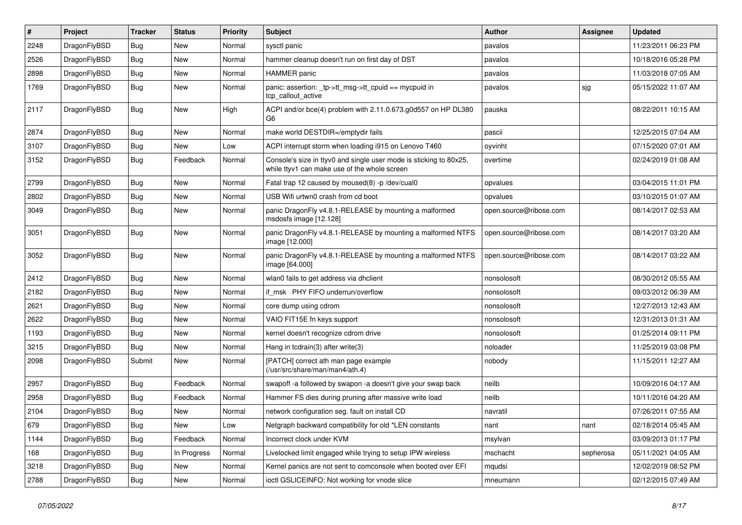| ∦    | Project      | <b>Tracker</b> | <b>Status</b> | <b>Priority</b> | Subject                                                                                                            | <b>Author</b>          | Assignee  | <b>Updated</b>      |
|------|--------------|----------------|---------------|-----------------|--------------------------------------------------------------------------------------------------------------------|------------------------|-----------|---------------------|
| 2248 | DragonFlyBSD | Bug            | <b>New</b>    | Normal          | sysctl panic                                                                                                       | pavalos                |           | 11/23/2011 06:23 PM |
| 2526 | DragonFlyBSD | Bug            | <b>New</b>    | Normal          | hammer cleanup doesn't run on first day of DST                                                                     | pavalos                |           | 10/18/2016 05:28 PM |
| 2898 | DragonFlyBSD | <b>Bug</b>     | <b>New</b>    | Normal          | <b>HAMMER</b> panic                                                                                                | pavalos                |           | 11/03/2018 07:05 AM |
| 1769 | DragonFlyBSD | Bug            | <b>New</b>    | Normal          | panic: assertion: _tp->tt_msg->tt_cpuid == mycpuid in<br>tcp_callout_active                                        | pavalos                | sjg       | 05/15/2022 11:07 AM |
| 2117 | DragonFlyBSD | Bug            | New           | High            | ACPI and/or bce(4) problem with 2.11.0.673.g0d557 on HP DL380<br>G6                                                | pauska                 |           | 08/22/2011 10:15 AM |
| 2874 | DragonFlyBSD | Bug            | New           | Normal          | make world DESTDIR=/emptydir fails                                                                                 | pascii                 |           | 12/25/2015 07:04 AM |
| 3107 | DragonFlyBSD | <b>Bug</b>     | <b>New</b>    | Low             | ACPI interrupt storm when loading i915 on Lenovo T460                                                              | oyvinht                |           | 07/15/2020 07:01 AM |
| 3152 | DragonFlyBSD | Bug            | Feedback      | Normal          | Console's size in ttyv0 and single user mode is sticking to 80x25,<br>while ttyv1 can make use of the whole screen | overtime               |           | 02/24/2019 01:08 AM |
| 2799 | DragonFlyBSD | Bug            | <b>New</b>    | Normal          | Fatal trap 12 caused by moused(8) -p /dev/cual0                                                                    | opvalues               |           | 03/04/2015 11:01 PM |
| 2802 | DragonFlyBSD | Bug            | <b>New</b>    | Normal          | USB Wifi urtwn0 crash from cd boot                                                                                 | opvalues               |           | 03/10/2015 01:07 AM |
| 3049 | DragonFlyBSD | Bug            | New           | Normal          | panic DragonFly v4.8.1-RELEASE by mounting a malformed<br>msdosfs image [12.128]                                   | open.source@ribose.com |           | 08/14/2017 02:53 AM |
| 3051 | DragonFlyBSD | Bug            | New           | Normal          | panic DragonFly v4.8.1-RELEASE by mounting a malformed NTFS<br>image [12.000]                                      | open.source@ribose.com |           | 08/14/2017 03:20 AM |
| 3052 | DragonFlyBSD | Bug            | <b>New</b>    | Normal          | panic DragonFly v4.8.1-RELEASE by mounting a malformed NTFS<br>image [64.000]                                      | open.source@ribose.com |           | 08/14/2017 03:22 AM |
| 2412 | DragonFlyBSD | Bug            | <b>New</b>    | Normal          | wlan0 fails to get address via dhclient                                                                            | nonsolosoft            |           | 08/30/2012 05:55 AM |
| 2182 | DragonFlyBSD | <b>Bug</b>     | <b>New</b>    | Normal          | if msk PHY FIFO underrun/overflow                                                                                  | nonsolosoft            |           | 09/03/2012 06:39 AM |
| 2621 | DragonFlyBSD | <b>Bug</b>     | New           | Normal          | core dump using cdrom                                                                                              | nonsolosoft            |           | 12/27/2013 12:43 AM |
| 2622 | DragonFlyBSD | Bug            | <b>New</b>    | Normal          | VAIO FIT15E fn keys support                                                                                        | nonsolosoft            |           | 12/31/2013 01:31 AM |
| 1193 | DragonFlyBSD | Bug            | New           | Normal          | kernel doesn't recognize cdrom drive                                                                               | nonsolosoft            |           | 01/25/2014 09:11 PM |
| 3215 | DragonFlyBSD | Bug            | <b>New</b>    | Normal          | Hang in tcdrain(3) after write(3)                                                                                  | noloader               |           | 11/25/2019 03:08 PM |
| 2098 | DragonFlyBSD | Submit         | New           | Normal          | [PATCH] correct ath man page example<br>(/usr/src/share/man/man4/ath.4)                                            | nobody                 |           | 11/15/2011 12:27 AM |
| 2957 | DragonFlyBSD | <b>Bug</b>     | Feedback      | Normal          | swapoff -a followed by swapon -a doesn't give your swap back                                                       | neilb                  |           | 10/09/2016 04:17 AM |
| 2958 | DragonFlyBSD | Bug            | Feedback      | Normal          | Hammer FS dies during pruning after massive write load                                                             | neilb                  |           | 10/11/2016 04:20 AM |
| 2104 | DragonFlyBSD | <b>Bug</b>     | New           | Normal          | network configuration seg. fault on install CD                                                                     | navratil               |           | 07/26/2011 07:55 AM |
| 679  | DragonFlyBSD | <b>Bug</b>     | New           | Low             | Netgraph backward compatibility for old *LEN constants                                                             | nant                   | nant      | 02/18/2014 05:45 AM |
| 1144 | DragonFlyBSD | <b>Bug</b>     | Feedback      | Normal          | Incorrect clock under KVM                                                                                          | msylvan                |           | 03/09/2013 01:17 PM |
| 168  | DragonFlyBSD | <b>Bug</b>     | In Progress   | Normal          | Livelocked limit engaged while trying to setup IPW wireless                                                        | mschacht               | sepherosa | 05/11/2021 04:05 AM |
| 3218 | DragonFlyBSD | <b>Bug</b>     | New           | Normal          | Kernel panics are not sent to comconsole when booted over EFI                                                      | mqudsi                 |           | 12/02/2019 08:52 PM |
| 2788 | DragonFlyBSD | Bug            | New           | Normal          | ioctl GSLICEINFO: Not working for vnode slice                                                                      | mneumann               |           | 02/12/2015 07:49 AM |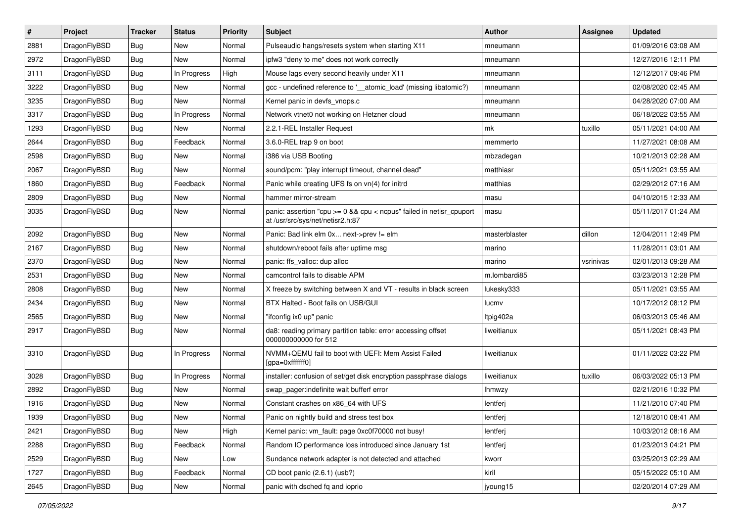| $\sharp$ | Project      | <b>Tracker</b> | <b>Status</b> | <b>Priority</b> | Subject                                                                                                 | <b>Author</b> | Assignee  | <b>Updated</b>      |
|----------|--------------|----------------|---------------|-----------------|---------------------------------------------------------------------------------------------------------|---------------|-----------|---------------------|
| 2881     | DragonFlyBSD | Bug            | New           | Normal          | Pulseaudio hangs/resets system when starting X11                                                        | mneumann      |           | 01/09/2016 03:08 AM |
| 2972     | DragonFlyBSD | Bug            | <b>New</b>    | Normal          | ipfw3 "deny to me" does not work correctly                                                              | mneumann      |           | 12/27/2016 12:11 PM |
| 3111     | DragonFlyBSD | <b>Bug</b>     | In Progress   | High            | Mouse lags every second heavily under X11                                                               | mneumann      |           | 12/12/2017 09:46 PM |
| 3222     | DragonFlyBSD | <b>Bug</b>     | New           | Normal          | gcc - undefined reference to '__atomic_load' (missing libatomic?)                                       | mneumann      |           | 02/08/2020 02:45 AM |
| 3235     | DragonFlyBSD | Bug            | <b>New</b>    | Normal          | Kernel panic in devfs_vnops.c                                                                           | mneumann      |           | 04/28/2020 07:00 AM |
| 3317     | DragonFlyBSD | Bug            | In Progress   | Normal          | Network vtnet0 not working on Hetzner cloud                                                             | mneumann      |           | 06/18/2022 03:55 AM |
| 1293     | DragonFlyBSD | <b>Bug</b>     | New           | Normal          | 2.2.1-REL Installer Request                                                                             | mk            | tuxillo   | 05/11/2021 04:00 AM |
| 2644     | DragonFlyBSD | <b>Bug</b>     | Feedback      | Normal          | 3.6.0-REL trap 9 on boot                                                                                | memmerto      |           | 11/27/2021 08:08 AM |
| 2598     | DragonFlyBSD | <b>Bug</b>     | <b>New</b>    | Normal          | i386 via USB Booting                                                                                    | mbzadegan     |           | 10/21/2013 02:28 AM |
| 2067     | DragonFlyBSD | Bug            | New           | Normal          | sound/pcm: "play interrupt timeout, channel dead"                                                       | matthiasr     |           | 05/11/2021 03:55 AM |
| 1860     | DragonFlyBSD | <b>Bug</b>     | Feedback      | Normal          | Panic while creating UFS fs on vn(4) for initrd                                                         | matthias      |           | 02/29/2012 07:16 AM |
| 2809     | DragonFlyBSD | <b>Bug</b>     | <b>New</b>    | Normal          | hammer mirror-stream                                                                                    | masu          |           | 04/10/2015 12:33 AM |
| 3035     | DragonFlyBSD | Bug            | New           | Normal          | panic: assertion "cpu >= 0 && cpu < ncpus" failed in netisr_cpuport<br>at /usr/src/sys/net/netisr2.h:87 | masu          |           | 05/11/2017 01:24 AM |
| 2092     | DragonFlyBSD | Bug            | New           | Normal          | Panic: Bad link elm 0x next->prev != elm                                                                | masterblaster | dillon    | 12/04/2011 12:49 PM |
| 2167     | DragonFlyBSD | <b>Bug</b>     | <b>New</b>    | Normal          | shutdown/reboot fails after uptime msg                                                                  | marino        |           | 11/28/2011 03:01 AM |
| 2370     | DragonFlyBSD | <b>Bug</b>     | New           | Normal          | panic: ffs_valloc: dup alloc                                                                            | marino        | vsrinivas | 02/01/2013 09:28 AM |
| 2531     | DragonFlyBSD | <b>Bug</b>     | New           | Normal          | camcontrol fails to disable APM                                                                         | m.lombardi85  |           | 03/23/2013 12:28 PM |
| 2808     | DragonFlyBSD | <b>Bug</b>     | New           | Normal          | X freeze by switching between X and VT - results in black screen                                        | lukesky333    |           | 05/11/2021 03:55 AM |
| 2434     | DragonFlyBSD | <b>Bug</b>     | <b>New</b>    | Normal          | BTX Halted - Boot fails on USB/GUI                                                                      | lucmv         |           | 10/17/2012 08:12 PM |
| 2565     | DragonFlyBSD | <b>Bug</b>     | New           | Normal          | "ifconfig ix0 up" panic                                                                                 | Itpig402a     |           | 06/03/2013 05:46 AM |
| 2917     | DragonFlyBSD | <b>Bug</b>     | New           | Normal          | da8: reading primary partition table: error accessing offset<br>000000000000 for 512                    | liweitianux   |           | 05/11/2021 08:43 PM |
| 3310     | DragonFlyBSD | <b>Bug</b>     | In Progress   | Normal          | NVMM+QEMU fail to boot with UEFI: Mem Assist Failed<br>[gpa=0xfffffff0]                                 | liweitianux   |           | 01/11/2022 03:22 PM |
| 3028     | DragonFlyBSD | <b>Bug</b>     | In Progress   | Normal          | installer: confusion of set/get disk encryption passphrase dialogs                                      | liweitianux   | tuxillo   | 06/03/2022 05:13 PM |
| 2892     | DragonFlyBSD | <b>Bug</b>     | New           | Normal          | swap pager:indefinite wait bufferf error                                                                | Ihmwzy        |           | 02/21/2016 10:32 PM |
| 1916     | DragonFlyBSD | <b>Bug</b>     | New           | Normal          | Constant crashes on x86_64 with UFS                                                                     | lentferj      |           | 11/21/2010 07:40 PM |
| 1939     | DragonFlyBSD | Bug            | New           | Normal          | Panic on nightly build and stress test box                                                              | lentferj      |           | 12/18/2010 08:41 AM |
| 2421     | DragonFlyBSD | <b>Bug</b>     | New           | High            | Kernel panic: vm_fault: page 0xc0f70000 not busy!                                                       | lentferj      |           | 10/03/2012 08:16 AM |
| 2288     | DragonFlyBSD | Bug            | Feedback      | Normal          | Random IO performance loss introduced since January 1st                                                 | lentferj      |           | 01/23/2013 04:21 PM |
| 2529     | DragonFlyBSD | Bug            | New           | Low             | Sundance network adapter is not detected and attached                                                   | kworr         |           | 03/25/2013 02:29 AM |
| 1727     | DragonFlyBSD | Bug            | Feedback      | Normal          | CD boot panic (2.6.1) (usb?)                                                                            | kiril         |           | 05/15/2022 05:10 AM |
| 2645     | DragonFlyBSD | <b>Bug</b>     | New           | Normal          | panic with dsched fq and ioprio                                                                         | jyoung15      |           | 02/20/2014 07:29 AM |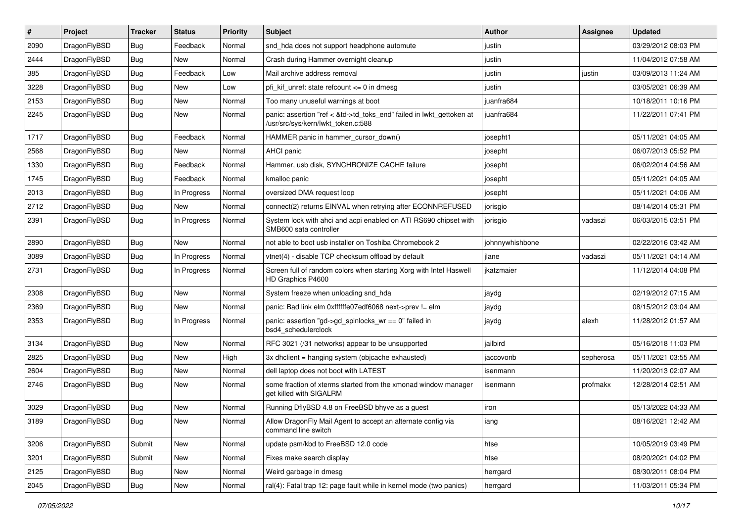| ∦    | Project      | <b>Tracker</b> | <b>Status</b> | <b>Priority</b> | Subject                                                                                                    | Author          | Assignee  | <b>Updated</b>      |
|------|--------------|----------------|---------------|-----------------|------------------------------------------------------------------------------------------------------------|-----------------|-----------|---------------------|
| 2090 | DragonFlyBSD | <b>Bug</b>     | Feedback      | Normal          | snd_hda does not support headphone automute                                                                | justin          |           | 03/29/2012 08:03 PM |
| 2444 | DragonFlyBSD | <b>Bug</b>     | New           | Normal          | Crash during Hammer overnight cleanup                                                                      | justin          |           | 11/04/2012 07:58 AM |
| 385  | DragonFlyBSD | Bug            | Feedback      | Low             | Mail archive address removal                                                                               | justin          | justin    | 03/09/2013 11:24 AM |
| 3228 | DragonFlyBSD | Bug            | <b>New</b>    | Low             | pfi kif unref: state refcount $\leq$ 0 in dmesg                                                            | justin          |           | 03/05/2021 06:39 AM |
| 2153 | DragonFlyBSD | <b>Bug</b>     | <b>New</b>    | Normal          | Too many unuseful warnings at boot                                                                         | juanfra684      |           | 10/18/2011 10:16 PM |
| 2245 | DragonFlyBSD | <b>Bug</b>     | New           | Normal          | panic: assertion "ref < &td->td_toks_end" failed in lwkt_gettoken at<br>/usr/src/sys/kern/lwkt_token.c:588 | juanfra684      |           | 11/22/2011 07:41 PM |
| 1717 | DragonFlyBSD | Bug            | Feedback      | Normal          | HAMMER panic in hammer_cursor_down()                                                                       | josepht1        |           | 05/11/2021 04:05 AM |
| 2568 | DragonFlyBSD | Bug            | New           | Normal          | AHCI panic                                                                                                 | josepht         |           | 06/07/2013 05:52 PM |
| 1330 | DragonFlyBSD | <b>Bug</b>     | Feedback      | Normal          | Hammer, usb disk, SYNCHRONIZE CACHE failure                                                                | josepht         |           | 06/02/2014 04:56 AM |
| 1745 | DragonFlyBSD | Bug            | Feedback      | Normal          | kmalloc panic                                                                                              | josepht         |           | 05/11/2021 04:05 AM |
| 2013 | DragonFlyBSD | Bug            | In Progress   | Normal          | oversized DMA request loop                                                                                 | josepht         |           | 05/11/2021 04:06 AM |
| 2712 | DragonFlyBSD | <b>Bug</b>     | New           | Normal          | connect(2) returns EINVAL when retrying after ECONNREFUSED                                                 | jorisgio        |           | 08/14/2014 05:31 PM |
| 2391 | DragonFlyBSD | Bug            | In Progress   | Normal          | System lock with ahci and acpi enabled on ATI RS690 chipset with<br>SMB600 sata controller                 | jorisgio        | vadaszi   | 06/03/2015 03:51 PM |
| 2890 | DragonFlyBSD | Bug            | New           | Normal          | not able to boot usb installer on Toshiba Chromebook 2                                                     | johnnywhishbone |           | 02/22/2016 03:42 AM |
| 3089 | DragonFlyBSD | Bug            | In Progress   | Normal          | vtnet(4) - disable TCP checksum offload by default                                                         | jlane           | vadaszi   | 05/11/2021 04:14 AM |
| 2731 | DragonFlyBSD | <b>Bug</b>     | In Progress   | Normal          | Screen full of random colors when starting Xorg with Intel Haswell<br>HD Graphics P4600                    | jkatzmaier      |           | 11/12/2014 04:08 PM |
| 2308 | DragonFlyBSD | <b>Bug</b>     | New           | Normal          | System freeze when unloading snd hda                                                                       | jaydg           |           | 02/19/2012 07:15 AM |
| 2369 | DragonFlyBSD | <b>Bug</b>     | New           | Normal          | panic: Bad link elm 0xffffffe07edf6068 next->prev != elm                                                   | jaydg           |           | 08/15/2012 03:04 AM |
| 2353 | DragonFlyBSD | <b>Bug</b>     | In Progress   | Normal          | panic: assertion "gd->gd_spinlocks_wr == 0" failed in<br>bsd4 schedulerclock                               | jaydg           | alexh     | 11/28/2012 01:57 AM |
| 3134 | DragonFlyBSD | <b>Bug</b>     | New           | Normal          | RFC 3021 (/31 networks) appear to be unsupported                                                           | jailbird        |           | 05/16/2018 11:03 PM |
| 2825 | DragonFlyBSD | Bug            | <b>New</b>    | High            | 3x dhclient = hanging system (objcache exhausted)                                                          | jaccovonb       | sepherosa | 05/11/2021 03:55 AM |
| 2604 | DragonFlyBSD | Bug            | <b>New</b>    | Normal          | dell laptop does not boot with LATEST                                                                      | isenmann        |           | 11/20/2013 02:07 AM |
| 2746 | DragonFlyBSD | Bug            | <b>New</b>    | Normal          | some fraction of xterms started from the xmonad window manager<br>get killed with SIGALRM                  | isenmann        | profmakx  | 12/28/2014 02:51 AM |
| 3029 | DragonFlyBSD | Bug            | <b>New</b>    | Normal          | Running DflyBSD 4.8 on FreeBSD bhyve as a guest                                                            | iron            |           | 05/13/2022 04:33 AM |
| 3189 | DragonFlyBSD | <b>Bug</b>     | New           | Normal          | Allow DragonFly Mail Agent to accept an alternate config via<br>command line switch                        | lang            |           | 08/16/2021 12:42 AM |
| 3206 | DragonFlyBSD | Submit         | New           | Normal          | update psm/kbd to FreeBSD 12.0 code                                                                        | htse            |           | 10/05/2019 03:49 PM |
| 3201 | DragonFlyBSD | Submit         | New           | Normal          | Fixes make search display                                                                                  | htse            |           | 08/20/2021 04:02 PM |
| 2125 | DragonFlyBSD | <b>Bug</b>     | New           | Normal          | Weird garbage in dmesg                                                                                     | herrgard        |           | 08/30/2011 08:04 PM |
| 2045 | DragonFlyBSD | Bug            | New           | Normal          | ral(4): Fatal trap 12: page fault while in kernel mode (two panics)                                        | herrgard        |           | 11/03/2011 05:34 PM |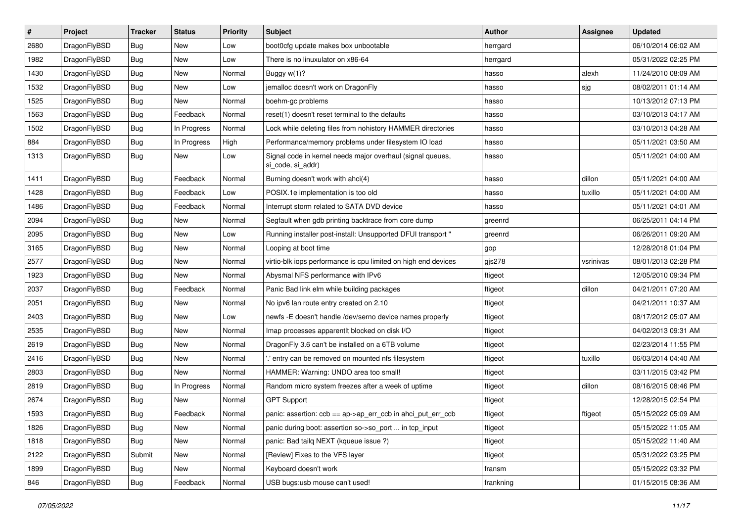| $\vert$ # | Project      | <b>Tracker</b> | <b>Status</b> | <b>Priority</b> | Subject                                                                         | <b>Author</b> | <b>Assignee</b> | <b>Updated</b>      |
|-----------|--------------|----------------|---------------|-----------------|---------------------------------------------------------------------------------|---------------|-----------------|---------------------|
| 2680      | DragonFlyBSD | <b>Bug</b>     | <b>New</b>    | Low             | boot0cfg update makes box unbootable                                            | herrgard      |                 | 06/10/2014 06:02 AM |
| 1982      | DragonFlyBSD | <b>Bug</b>     | <b>New</b>    | Low             | There is no linuxulator on x86-64                                               | herrgard      |                 | 05/31/2022 02:25 PM |
| 1430      | DragonFlyBSD | <b>Bug</b>     | <b>New</b>    | Normal          | Buggy $w(1)$ ?                                                                  | hasso         | alexh           | 11/24/2010 08:09 AM |
| 1532      | DragonFlyBSD | <b>Bug</b>     | <b>New</b>    | Low             | jemalloc doesn't work on DragonFly                                              | hasso         | sjg             | 08/02/2011 01:14 AM |
| 1525      | DragonFlyBSD | Bug            | <b>New</b>    | Normal          | boehm-gc problems                                                               | hasso         |                 | 10/13/2012 07:13 PM |
| 1563      | DragonFlyBSD | <b>Bug</b>     | Feedback      | Normal          | reset(1) doesn't reset terminal to the defaults                                 | hasso         |                 | 03/10/2013 04:17 AM |
| 1502      | DragonFlyBSD | <b>Bug</b>     | In Progress   | Normal          | Lock while deleting files from nohistory HAMMER directories                     | hasso         |                 | 03/10/2013 04:28 AM |
| 884       | DragonFlyBSD | <b>Bug</b>     | In Progress   | High            | Performance/memory problems under filesystem IO load                            | hasso         |                 | 05/11/2021 03:50 AM |
| 1313      | DragonFlyBSD | <b>Bug</b>     | New           | Low             | Signal code in kernel needs major overhaul (signal queues,<br>si_code, si_addr) | hasso         |                 | 05/11/2021 04:00 AM |
| 1411      | DragonFlyBSD | Bug            | Feedback      | Normal          | Burning doesn't work with ahci(4)                                               | hasso         | dillon          | 05/11/2021 04:00 AM |
| 1428      | DragonFlyBSD | Bug            | Feedback      | Low             | POSIX.1e implementation is too old                                              | hasso         | tuxillo         | 05/11/2021 04:00 AM |
| 1486      | DragonFlyBSD | <b>Bug</b>     | Feedback      | Normal          | Interrupt storm related to SATA DVD device                                      | hasso         |                 | 05/11/2021 04:01 AM |
| 2094      | DragonFlyBSD | <b>Bug</b>     | New           | Normal          | Segfault when gdb printing backtrace from core dump                             | greenrd       |                 | 06/25/2011 04:14 PM |
| 2095      | DragonFlyBSD | <b>Bug</b>     | <b>New</b>    | Low             | Running installer post-install: Unsupported DFUI transport "                    | greenrd       |                 | 06/26/2011 09:20 AM |
| 3165      | DragonFlyBSD | <b>Bug</b>     | New           | Normal          | Looping at boot time                                                            | gop           |                 | 12/28/2018 01:04 PM |
| 2577      | DragonFlyBSD | <b>Bug</b>     | New           | Normal          | virtio-blk iops performance is cpu limited on high end devices                  | gjs278        | vsrinivas       | 08/01/2013 02:28 PM |
| 1923      | DragonFlyBSD | <b>Bug</b>     | <b>New</b>    | Normal          | Abysmal NFS performance with IPv6                                               | ftigeot       |                 | 12/05/2010 09:34 PM |
| 2037      | DragonFlyBSD | <b>Bug</b>     | Feedback      | Normal          | Panic Bad link elm while building packages                                      | ftigeot       | dillon          | 04/21/2011 07:20 AM |
| 2051      | DragonFlyBSD | Bug            | <b>New</b>    | Normal          | No ipv6 lan route entry created on 2.10                                         | ftigeot       |                 | 04/21/2011 10:37 AM |
| 2403      | DragonFlyBSD | <b>Bug</b>     | <b>New</b>    | Low             | newfs -E doesn't handle /dev/serno device names properly                        | ftigeot       |                 | 08/17/2012 05:07 AM |
| 2535      | DragonFlyBSD | <b>Bug</b>     | <b>New</b>    | Normal          | Imap processes apparentlt blocked on disk I/O                                   | ftigeot       |                 | 04/02/2013 09:31 AM |
| 2619      | DragonFlyBSD | <b>Bug</b>     | <b>New</b>    | Normal          | DragonFly 3.6 can't be installed on a 6TB volume                                | ftigeot       |                 | 02/23/2014 11:55 PM |
| 2416      | DragonFlyBSD | <b>Bug</b>     | New           | Normal          | ".' entry can be removed on mounted nfs filesystem                              | ftigeot       | tuxillo         | 06/03/2014 04:40 AM |
| 2803      | DragonFlyBSD | Bug            | <b>New</b>    | Normal          | HAMMER: Warning: UNDO area too small!                                           | ftigeot       |                 | 03/11/2015 03:42 PM |
| 2819      | DragonFlyBSD | Bug            | In Progress   | Normal          | Random micro system freezes after a week of uptime                              | ftigeot       | dillon          | 08/16/2015 08:46 PM |
| 2674      | DragonFlyBSD | <b>Bug</b>     | <b>New</b>    | Normal          | <b>GPT Support</b>                                                              | ftigeot       |                 | 12/28/2015 02:54 PM |
| 1593      | DragonFlyBSD | <b>Bug</b>     | Feedback      | Normal          | panic: assertion: $\cosh = a$ p->ap err $\cosh$ in ahci put err $\cosh$         | ftigeot       | ftigeot         | 05/15/2022 05:09 AM |
| 1826      | DragonFlyBSD | Bug            | New           | Normal          | panic during boot: assertion so->so_port  in tcp_input                          | ftigeot       |                 | 05/15/2022 11:05 AM |
| 1818      | DragonFlyBSD | <b>Bug</b>     | New           | Normal          | panic: Bad tailq NEXT (kqueue issue ?)                                          | ftigeot       |                 | 05/15/2022 11:40 AM |
| 2122      | DragonFlyBSD | Submit         | New           | Normal          | [Review] Fixes to the VFS layer                                                 | ftigeot       |                 | 05/31/2022 03:25 PM |
| 1899      | DragonFlyBSD | Bug            | New           | Normal          | Keyboard doesn't work                                                           | fransm        |                 | 05/15/2022 03:32 PM |
| 846       | DragonFlyBSD | <b>Bug</b>     | Feedback      | Normal          | USB bugs:usb mouse can't used!                                                  | frankning     |                 | 01/15/2015 08:36 AM |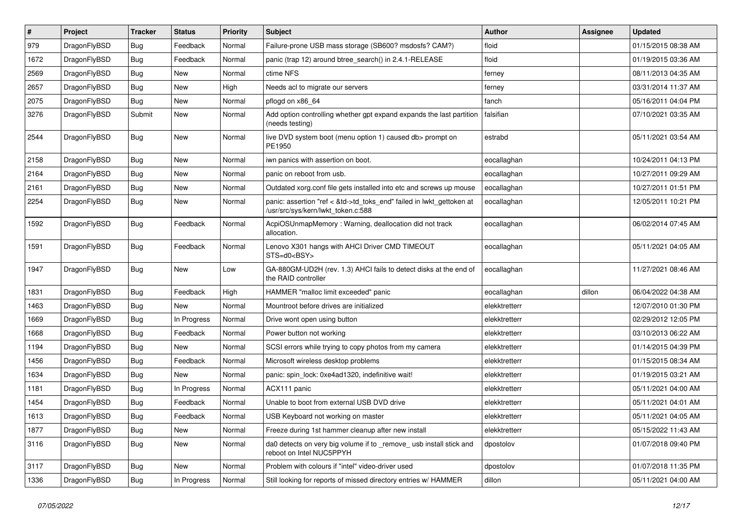| $\vert$ # | Project      | <b>Tracker</b> | <b>Status</b> | <b>Priority</b> | Subject                                                                                                    | Author        | Assignee | <b>Updated</b>      |
|-----------|--------------|----------------|---------------|-----------------|------------------------------------------------------------------------------------------------------------|---------------|----------|---------------------|
| 979       | DragonFlyBSD | <b>Bug</b>     | Feedback      | Normal          | Failure-prone USB mass storage (SB600? msdosfs? CAM?)                                                      | floid         |          | 01/15/2015 08:38 AM |
| 1672      | DragonFlyBSD | <b>Bug</b>     | Feedback      | Normal          | panic (trap 12) around btree_search() in 2.4.1-RELEASE                                                     | floid         |          | 01/19/2015 03:36 AM |
| 2569      | DragonFlyBSD | <b>Bug</b>     | <b>New</b>    | Normal          | ctime NFS                                                                                                  | ferney        |          | 08/11/2013 04:35 AM |
| 2657      | DragonFlyBSD | Bug            | <b>New</b>    | High            | Needs acl to migrate our servers                                                                           | ferney        |          | 03/31/2014 11:37 AM |
| 2075      | DragonFlyBSD | <b>Bug</b>     | <b>New</b>    | Normal          | pflogd on x86 64                                                                                           | fanch         |          | 05/16/2011 04:04 PM |
| 3276      | DragonFlyBSD | Submit         | New           | Normal          | Add option controlling whether gpt expand expands the last partition<br>(needs testing)                    | falsifian     |          | 07/10/2021 03:35 AM |
| 2544      | DragonFlyBSD | <b>Bug</b>     | New           | Normal          | live DVD system boot (menu option 1) caused db> prompt on<br>PE1950                                        | estrabd       |          | 05/11/2021 03:54 AM |
| 2158      | DragonFlyBSD | <b>Bug</b>     | <b>New</b>    | Normal          | iwn panics with assertion on boot.                                                                         | eocallaghan   |          | 10/24/2011 04:13 PM |
| 2164      | DragonFlyBSD | <b>Bug</b>     | <b>New</b>    | Normal          | panic on reboot from usb.                                                                                  | eocallaghan   |          | 10/27/2011 09:29 AM |
| 2161      | DragonFlyBSD | Bug            | New           | Normal          | Outdated xorg.conf file gets installed into etc and screws up mouse                                        | eocallaghan   |          | 10/27/2011 01:51 PM |
| 2254      | DragonFlyBSD | Bug            | New           | Normal          | panic: assertion "ref < &td->td_toks_end" failed in lwkt_gettoken at<br>/usr/src/sys/kern/lwkt_token.c:588 | eocallaghan   |          | 12/05/2011 10:21 PM |
| 1592      | DragonFlyBSD | Bug            | Feedback      | Normal          | AcpiOSUnmapMemory: Warning, deallocation did not track<br>allocation.                                      | eocallaghan   |          | 06/02/2014 07:45 AM |
| 1591      | DragonFlyBSD | Bug            | Feedback      | Normal          | Lenovo X301 hangs with AHCI Driver CMD TIMEOUT<br>STS=d0 <bsy></bsy>                                       | eocallaghan   |          | 05/11/2021 04:05 AM |
| 1947      | DragonFlyBSD | <b>Bug</b>     | New           | Low             | GA-880GM-UD2H (rev. 1.3) AHCI fails to detect disks at the end of<br>the RAID controller                   | eocallaghan   |          | 11/27/2021 08:46 AM |
| 1831      | DragonFlyBSD | <b>Bug</b>     | Feedback      | High            | HAMMER "malloc limit exceeded" panic                                                                       | eocallaghan   | dillon   | 06/04/2022 04:38 AM |
| 1463      | DragonFlyBSD | <b>Bug</b>     | New           | Normal          | Mountroot before drives are initialized                                                                    | elekktretterr |          | 12/07/2010 01:30 PM |
| 1669      | DragonFlyBSD | Bug            | In Progress   | Normal          | Drive wont open using button                                                                               | elekktretterr |          | 02/29/2012 12:05 PM |
| 1668      | DragonFlyBSD | Bug            | Feedback      | Normal          | Power button not working                                                                                   | elekktretterr |          | 03/10/2013 06:22 AM |
| 1194      | DragonFlyBSD | Bug            | New           | Normal          | SCSI errors while trying to copy photos from my camera                                                     | elekktretterr |          | 01/14/2015 04:39 PM |
| 1456      | DragonFlyBSD | <b>Bug</b>     | Feedback      | Normal          | Microsoft wireless desktop problems                                                                        | elekktretterr |          | 01/15/2015 08:34 AM |
| 1634      | DragonFlyBSD | <b>Bug</b>     | New           | Normal          | panic: spin lock: 0xe4ad1320, indefinitive wait!                                                           | elekktretterr |          | 01/19/2015 03:21 AM |
| 1181      | DragonFlyBSD | <b>Bug</b>     | In Progress   | Normal          | ACX111 panic                                                                                               | elekktretterr |          | 05/11/2021 04:00 AM |
| 1454      | DragonFlyBSD | <b>Bug</b>     | Feedback      | Normal          | Unable to boot from external USB DVD drive                                                                 | elekktretterr |          | 05/11/2021 04:01 AM |
| 1613      | DragonFlyBSD | Bug            | Feedback      | Normal          | USB Keyboard not working on master                                                                         | elekktretterr |          | 05/11/2021 04:05 AM |
| 1877      | DragonFlyBSD | Bug            | New           | Normal          | Freeze during 1st hammer cleanup after new install                                                         | elekktretterr |          | 05/15/2022 11:43 AM |
| 3116      | DragonFlyBSD | <b>Bug</b>     | New           | Normal          | da0 detects on very big volume if to _remove_ usb install stick and<br>reboot on Intel NUC5PPYH            | dpostolov     |          | 01/07/2018 09:40 PM |
| 3117      | DragonFlyBSD | <b>Bug</b>     | New           | Normal          | Problem with colours if "intel" video-driver used                                                          | dpostolov     |          | 01/07/2018 11:35 PM |
| 1336      | DragonFlyBSD | Bug            | In Progress   | Normal          | Still looking for reports of missed directory entries w/ HAMMER                                            | dillon        |          | 05/11/2021 04:00 AM |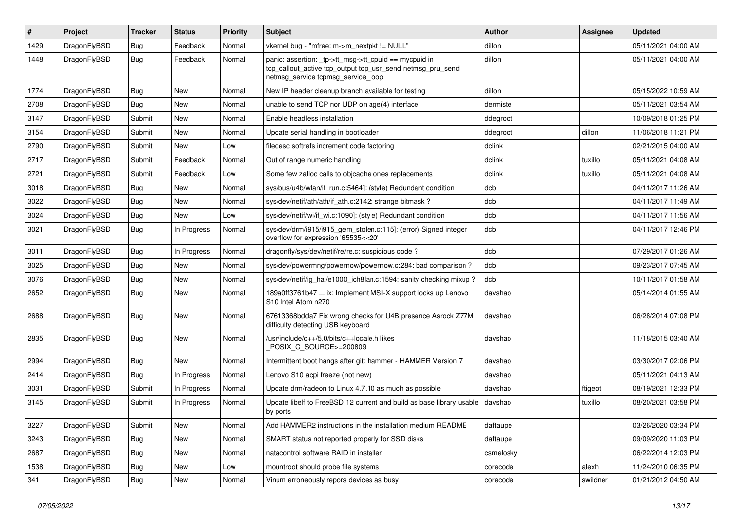| #    | Project      | <b>Tracker</b> | <b>Status</b> | <b>Priority</b> | Subject                                                                                                                                                   | <b>Author</b> | Assignee | <b>Updated</b>      |
|------|--------------|----------------|---------------|-----------------|-----------------------------------------------------------------------------------------------------------------------------------------------------------|---------------|----------|---------------------|
| 1429 | DragonFlyBSD | <b>Bug</b>     | Feedback      | Normal          | vkernel bug - "mfree: m->m_nextpkt != NULL"                                                                                                               | dillon        |          | 05/11/2021 04:00 AM |
| 1448 | DragonFlyBSD | <b>Bug</b>     | Feedback      | Normal          | panic: assertion: _tp->tt_msg->tt_cpuid == mycpuid in<br>tcp_callout_active tcp_output tcp_usr_send netmsg_pru_send<br>netmsg_service tcpmsg_service_loop | dillon        |          | 05/11/2021 04:00 AM |
| 1774 | DragonFlyBSD | <b>Bug</b>     | <b>New</b>    | Normal          | New IP header cleanup branch available for testing                                                                                                        | dillon        |          | 05/15/2022 10:59 AM |
| 2708 | DragonFlyBSD | <b>Bug</b>     | New           | Normal          | unable to send TCP nor UDP on age(4) interface                                                                                                            | dermiste      |          | 05/11/2021 03:54 AM |
| 3147 | DragonFlyBSD | Submit         | <b>New</b>    | Normal          | Enable headless installation                                                                                                                              | ddegroot      |          | 10/09/2018 01:25 PM |
| 3154 | DragonFlyBSD | Submit         | New           | Normal          | Update serial handling in bootloader                                                                                                                      | ddegroot      | dillon   | 11/06/2018 11:21 PM |
| 2790 | DragonFlyBSD | Submit         | New           | Low             | filedesc softrefs increment code factoring                                                                                                                | dclink        |          | 02/21/2015 04:00 AM |
| 2717 | DragonFlyBSD | Submit         | Feedback      | Normal          | Out of range numeric handling                                                                                                                             | dclink        | tuxillo  | 05/11/2021 04:08 AM |
| 2721 | DragonFlyBSD | Submit         | Feedback      | Low             | Some few zalloc calls to objcache ones replacements                                                                                                       | dclink        | tuxillo  | 05/11/2021 04:08 AM |
| 3018 | DragonFlyBSD | Bug            | New           | Normal          | sys/bus/u4b/wlan/if run.c:5464]: (style) Redundant condition                                                                                              | dcb           |          | 04/11/2017 11:26 AM |
| 3022 | DragonFlyBSD | <b>Bug</b>     | New           | Normal          | sys/dev/netif/ath/ath/if_ath.c:2142: strange bitmask?                                                                                                     | dcb           |          | 04/11/2017 11:49 AM |
| 3024 | DragonFlyBSD | <b>Bug</b>     | New           | Low             | sys/dev/netif/wi/if_wi.c:1090]: (style) Redundant condition                                                                                               | dcb           |          | 04/11/2017 11:56 AM |
| 3021 | DragonFlyBSD | Bug            | In Progress   | Normal          | sys/dev/drm/i915/i915_gem_stolen.c:115]: (error) Signed integer<br>overflow for expression '65535<<20'                                                    | dcb           |          | 04/11/2017 12:46 PM |
| 3011 | DragonFlyBSD | Bug            | In Progress   | Normal          | dragonfly/sys/dev/netif/re/re.c: suspicious code?                                                                                                         | dcb           |          | 07/29/2017 01:26 AM |
| 3025 | DragonFlyBSD | Bug            | New           | Normal          | sys/dev/powermng/powernow/powernow.c:284: bad comparison?                                                                                                 | dcb           |          | 09/23/2017 07:45 AM |
| 3076 | DragonFlyBSD | Bug            | New           | Normal          | sys/dev/netif/ig_hal/e1000_ich8lan.c:1594: sanity checking mixup ?                                                                                        | dcb           |          | 10/11/2017 01:58 AM |
| 2652 | DragonFlyBSD | Bug            | <b>New</b>    | Normal          | 189a0ff3761b47  ix: Implement MSI-X support locks up Lenovo<br>S <sub>10</sub> Intel Atom n <sub>270</sub>                                                | davshao       |          | 05/14/2014 01:55 AM |
| 2688 | DragonFlyBSD | Bug            | New           | Normal          | 67613368bdda7 Fix wrong checks for U4B presence Asrock Z77M<br>difficulty detecting USB keyboard                                                          | davshao       |          | 06/28/2014 07:08 PM |
| 2835 | DragonFlyBSD | Bug            | <b>New</b>    | Normal          | /usr/include/c++/5.0/bits/c++locale.h likes<br>POSIX_C_SOURCE>=200809                                                                                     | davshao       |          | 11/18/2015 03:40 AM |
| 2994 | DragonFlyBSD | Bug            | <b>New</b>    | Normal          | Intermittent boot hangs after git: hammer - HAMMER Version 7                                                                                              | davshao       |          | 03/30/2017 02:06 PM |
| 2414 | DragonFlyBSD | Bug            | In Progress   | Normal          | Lenovo S10 acpi freeze (not new)                                                                                                                          | davshao       |          | 05/11/2021 04:13 AM |
| 3031 | DragonFlyBSD | Submit         | In Progress   | Normal          | Update drm/radeon to Linux 4.7.10 as much as possible                                                                                                     | davshao       | ftigeot  | 08/19/2021 12:33 PM |
| 3145 | DragonFlyBSD | Submit         | In Progress   | Normal          | Update libelf to FreeBSD 12 current and build as base library usable<br>by ports                                                                          | davshao       | tuxillo  | 08/20/2021 03:58 PM |
| 3227 | DragonFlyBSD | Submit         | <b>New</b>    | Normal          | Add HAMMER2 instructions in the installation medium README                                                                                                | daftaupe      |          | 03/26/2020 03:34 PM |
| 3243 | DragonFlyBSD | <b>Bug</b>     | New           | Normal          | SMART status not reported properly for SSD disks                                                                                                          | daftaupe      |          | 09/09/2020 11:03 PM |
| 2687 | DragonFlyBSD | Bug            | New           | Normal          | natacontrol software RAID in installer                                                                                                                    | csmelosky     |          | 06/22/2014 12:03 PM |
| 1538 | DragonFlyBSD | Bug            | <b>New</b>    | Low             | mountroot should probe file systems                                                                                                                       | corecode      | alexh    | 11/24/2010 06:35 PM |
| 341  | DragonFlyBSD | Bug            | New           | Normal          | Vinum erroneously repors devices as busy                                                                                                                  | corecode      | swildner | 01/21/2012 04:50 AM |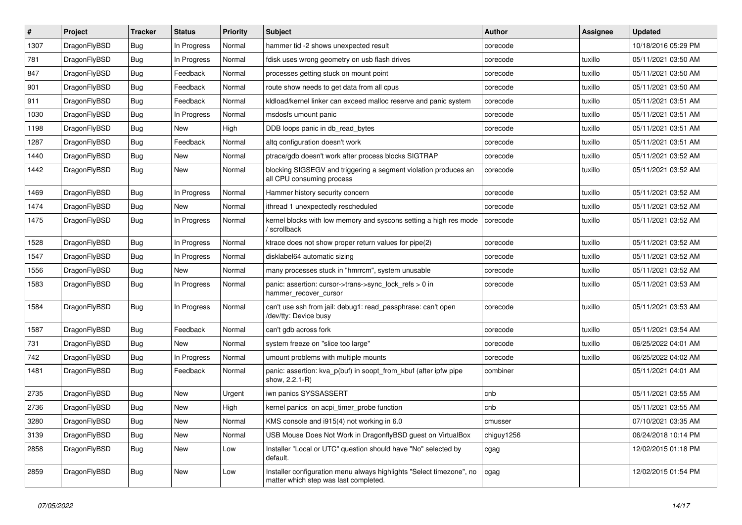| $\pmb{\#}$ | Project      | <b>Tracker</b> | <b>Status</b> | <b>Priority</b> | Subject                                                                                                       | <b>Author</b> | <b>Assignee</b> | <b>Updated</b>      |
|------------|--------------|----------------|---------------|-----------------|---------------------------------------------------------------------------------------------------------------|---------------|-----------------|---------------------|
| 1307       | DragonFlyBSD | Bug            | In Progress   | Normal          | hammer tid -2 shows unexpected result                                                                         | corecode      |                 | 10/18/2016 05:29 PM |
| 781        | DragonFlyBSD | Bug            | In Progress   | Normal          | fdisk uses wrong geometry on usb flash drives                                                                 | corecode      | tuxillo         | 05/11/2021 03:50 AM |
| 847        | DragonFlyBSD | Bug            | Feedback      | Normal          | processes getting stuck on mount point                                                                        | corecode      | tuxillo         | 05/11/2021 03:50 AM |
| 901        | DragonFlyBSD | Bug            | Feedback      | Normal          | route show needs to get data from all cpus                                                                    | corecode      | tuxillo         | 05/11/2021 03:50 AM |
| 911        | DragonFlyBSD | Bug            | Feedback      | Normal          | kldload/kernel linker can exceed malloc reserve and panic system                                              | corecode      | tuxillo         | 05/11/2021 03:51 AM |
| 1030       | DragonFlyBSD | Bug            | In Progress   | Normal          | msdosfs umount panic                                                                                          | corecode      | tuxillo         | 05/11/2021 03:51 AM |
| 1198       | DragonFlyBSD | Bug            | <b>New</b>    | High            | DDB loops panic in db_read_bytes                                                                              | corecode      | tuxillo         | 05/11/2021 03:51 AM |
| 1287       | DragonFlyBSD | Bug            | Feedback      | Normal          | altq configuration doesn't work                                                                               | corecode      | tuxillo         | 05/11/2021 03:51 AM |
| 1440       | DragonFlyBSD | Bug            | <b>New</b>    | Normal          | ptrace/gdb doesn't work after process blocks SIGTRAP                                                          | corecode      | tuxillo         | 05/11/2021 03:52 AM |
| 1442       | DragonFlyBSD | Bug            | <b>New</b>    | Normal          | blocking SIGSEGV and triggering a segment violation produces an<br>all CPU consuming process                  | corecode      | tuxillo         | 05/11/2021 03:52 AM |
| 1469       | DragonFlyBSD | Bug            | In Progress   | Normal          | Hammer history security concern                                                                               | corecode      | tuxillo         | 05/11/2021 03:52 AM |
| 1474       | DragonFlyBSD | Bug            | <b>New</b>    | Normal          | ithread 1 unexpectedly rescheduled                                                                            | corecode      | tuxillo         | 05/11/2021 03:52 AM |
| 1475       | DragonFlyBSD | Bug            | In Progress   | Normal          | kernel blocks with low memory and syscons setting a high res mode<br>/ scrollback                             | corecode      | tuxillo         | 05/11/2021 03:52 AM |
| 1528       | DragonFlyBSD | Bug            | In Progress   | Normal          | ktrace does not show proper return values for pipe(2)                                                         | corecode      | tuxillo         | 05/11/2021 03:52 AM |
| 1547       | DragonFlyBSD | Bug            | In Progress   | Normal          | disklabel64 automatic sizing                                                                                  | corecode      | tuxillo         | 05/11/2021 03:52 AM |
| 1556       | DragonFlyBSD | Bug            | New           | Normal          | many processes stuck in "hmrrcm", system unusable                                                             | corecode      | tuxillo         | 05/11/2021 03:52 AM |
| 1583       | DragonFlyBSD | Bug            | In Progress   | Normal          | panic: assertion: cursor->trans->sync_lock_refs > 0 in<br>hammer_recover_cursor                               | corecode      | tuxillo         | 05/11/2021 03:53 AM |
| 1584       | DragonFlyBSD | Bug            | In Progress   | Normal          | can't use ssh from jail: debug1: read_passphrase: can't open<br>/dev/tty: Device busy                         | corecode      | tuxillo         | 05/11/2021 03:53 AM |
| 1587       | DragonFlyBSD | Bug            | Feedback      | Normal          | can't gdb across fork                                                                                         | corecode      | tuxillo         | 05/11/2021 03:54 AM |
| 731        | DragonFlyBSD | Bug            | New           | Normal          | system freeze on "slice too large"                                                                            | corecode      | tuxillo         | 06/25/2022 04:01 AM |
| 742        | DragonFlyBSD | Bug            | In Progress   | Normal          | umount problems with multiple mounts                                                                          | corecode      | tuxillo         | 06/25/2022 04:02 AM |
| 1481       | DragonFlyBSD | Bug            | Feedback      | Normal          | panic: assertion: kva_p(buf) in soopt_from_kbuf (after ipfw pipe<br>show, 2.2.1-R)                            | combiner      |                 | 05/11/2021 04:01 AM |
| 2735       | DragonFlyBSD | Bug            | <b>New</b>    | Urgent          | iwn panics SYSSASSERT                                                                                         | cnb           |                 | 05/11/2021 03:55 AM |
| 2736       | DragonFlyBSD | Bug            | <b>New</b>    | High            | kernel panics on acpi_timer_probe function                                                                    | cnb           |                 | 05/11/2021 03:55 AM |
| 3280       | DragonFlyBSD | <b>Bug</b>     | New           | Normal          | KMS console and i915(4) not working in 6.0                                                                    | cmusser       |                 | 07/10/2021 03:35 AM |
| 3139       | DragonFlyBSD | Bug            | <b>New</b>    | Normal          | USB Mouse Does Not Work in DragonflyBSD guest on VirtualBox                                                   | chiguy1256    |                 | 06/24/2018 10:14 PM |
| 2858       | DragonFlyBSD | <b>Bug</b>     | New           | Low             | Installer "Local or UTC" question should have "No" selected by<br>default.                                    | cgag          |                 | 12/02/2015 01:18 PM |
| 2859       | DragonFlyBSD | <b>Bug</b>     | New           | Low             | Installer configuration menu always highlights "Select timezone", no<br>matter which step was last completed. | cgag          |                 | 12/02/2015 01:54 PM |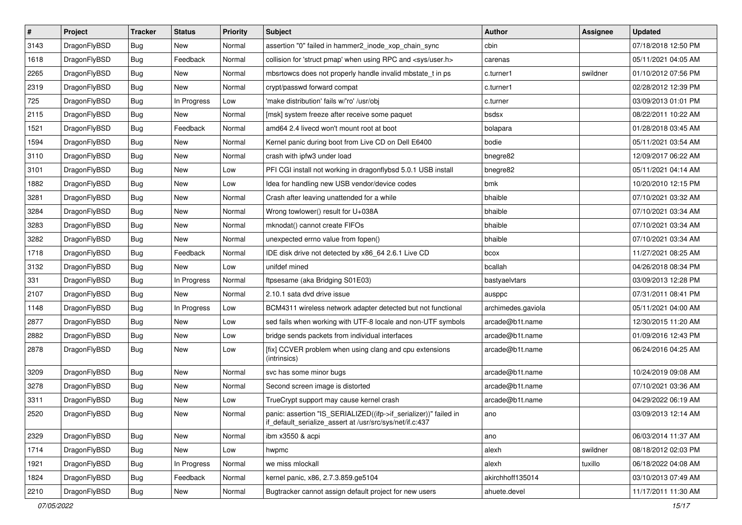| $\sharp$ | Project      | <b>Tracker</b> | <b>Status</b> | <b>Priority</b> | Subject                                                                                                                      | <b>Author</b>      | <b>Assignee</b> | <b>Updated</b>      |
|----------|--------------|----------------|---------------|-----------------|------------------------------------------------------------------------------------------------------------------------------|--------------------|-----------------|---------------------|
| 3143     | DragonFlyBSD | Bug            | New           | Normal          | assertion "0" failed in hammer2 inode xop chain sync                                                                         | cbin               |                 | 07/18/2018 12:50 PM |
| 1618     | DragonFlyBSD | Bug            | Feedback      | Normal          | collision for 'struct pmap' when using RPC and <sys user.h=""></sys>                                                         | carenas            |                 | 05/11/2021 04:05 AM |
| 2265     | DragonFlyBSD | <b>Bug</b>     | New           | Normal          | mbsrtowcs does not properly handle invalid mbstate_t in ps                                                                   | c.turner1          | swildner        | 01/10/2012 07:56 PM |
| 2319     | DragonFlyBSD | <b>Bug</b>     | New           | Normal          | crypt/passwd forward compat                                                                                                  | c.turner1          |                 | 02/28/2012 12:39 PM |
| 725      | DragonFlyBSD | Bug            | In Progress   | Low             | 'make distribution' fails w/'ro' /usr/obj                                                                                    | c.turner           |                 | 03/09/2013 01:01 PM |
| 2115     | DragonFlyBSD | <b>Bug</b>     | New           | Normal          | [msk] system freeze after receive some paquet                                                                                | bsdsx              |                 | 08/22/2011 10:22 AM |
| 1521     | DragonFlyBSD | <b>Bug</b>     | Feedback      | Normal          | amd64 2.4 livecd won't mount root at boot                                                                                    | bolapara           |                 | 01/28/2018 03:45 AM |
| 1594     | DragonFlyBSD | <b>Bug</b>     | <b>New</b>    | Normal          | Kernel panic during boot from Live CD on Dell E6400                                                                          | bodie              |                 | 05/11/2021 03:54 AM |
| 3110     | DragonFlyBSD | <b>Bug</b>     | New           | Normal          | crash with ipfw3 under load                                                                                                  | bnegre82           |                 | 12/09/2017 06:22 AM |
| 3101     | DragonFlyBSD | <b>Bug</b>     | <b>New</b>    | Low             | PFI CGI install not working in dragonflybsd 5.0.1 USB install                                                                | bnegre82           |                 | 05/11/2021 04:14 AM |
| 1882     | DragonFlyBSD | <b>Bug</b>     | New           | Low             | Idea for handling new USB vendor/device codes                                                                                | bmk                |                 | 10/20/2010 12:15 PM |
| 3281     | DragonFlyBSD | <b>Bug</b>     | New           | Normal          | Crash after leaving unattended for a while                                                                                   | bhaible            |                 | 07/10/2021 03:32 AM |
| 3284     | DragonFlyBSD | <b>Bug</b>     | New           | Normal          | Wrong towlower() result for U+038A                                                                                           | bhaible            |                 | 07/10/2021 03:34 AM |
| 3283     | DragonFlyBSD | <b>Bug</b>     | <b>New</b>    | Normal          | mknodat() cannot create FIFOs                                                                                                | bhaible            |                 | 07/10/2021 03:34 AM |
| 3282     | DragonFlyBSD | <b>Bug</b>     | <b>New</b>    | Normal          | unexpected errno value from fopen()                                                                                          | bhaible            |                 | 07/10/2021 03:34 AM |
| 1718     | DragonFlyBSD | <b>Bug</b>     | Feedback      | Normal          | IDE disk drive not detected by x86_64 2.6.1 Live CD                                                                          | bcox               |                 | 11/27/2021 08:25 AM |
| 3132     | DragonFlyBSD | <b>Bug</b>     | New           | Low             | unifdef mined                                                                                                                | bcallah            |                 | 04/26/2018 08:34 PM |
| 331      | DragonFlyBSD | <b>Bug</b>     | In Progress   | Normal          | ftpsesame (aka Bridging S01E03)                                                                                              | bastyaelvtars      |                 | 03/09/2013 12:28 PM |
| 2107     | DragonFlyBSD | <b>Bug</b>     | New           | Normal          | 2.10.1 sata dvd drive issue                                                                                                  | ausppc             |                 | 07/31/2011 08:41 PM |
| 1148     | DragonFlyBSD | <b>Bug</b>     | In Progress   | Low             | BCM4311 wireless network adapter detected but not functional                                                                 | archimedes.gaviola |                 | 05/11/2021 04:00 AM |
| 2877     | DragonFlyBSD | <b>Bug</b>     | <b>New</b>    | Low             | sed fails when working with UTF-8 locale and non-UTF symbols                                                                 | arcade@b1t.name    |                 | 12/30/2015 11:20 AM |
| 2882     | DragonFlyBSD | <b>Bug</b>     | New           | Low             | bridge sends packets from individual interfaces                                                                              | arcade@b1t.name    |                 | 01/09/2016 12:43 PM |
| 2878     | DragonFlyBSD | <b>Bug</b>     | New           | Low             | [fix] CCVER problem when using clang and cpu extensions<br>(intrinsics)                                                      | arcade@b1t.name    |                 | 06/24/2016 04:25 AM |
| 3209     | DragonFlyBSD | <b>Bug</b>     | <b>New</b>    | Normal          | svc has some minor bugs                                                                                                      | arcade@b1t.name    |                 | 10/24/2019 09:08 AM |
| 3278     | DragonFlyBSD | <b>Bug</b>     | <b>New</b>    | Normal          | Second screen image is distorted                                                                                             | arcade@b1t.name    |                 | 07/10/2021 03:36 AM |
| 3311     | DragonFlyBSD | <b>Bug</b>     | <b>New</b>    | Low             | TrueCrypt support may cause kernel crash                                                                                     | arcade@b1t.name    |                 | 04/29/2022 06:19 AM |
| 2520     | DragonFlyBSD | Bug            | <b>New</b>    | Normal          | panic: assertion "IS_SERIALIZED((ifp->if_serializer))" failed in<br>if_default_serialize_assert at /usr/src/sys/net/if.c:437 | ano                |                 | 03/09/2013 12:14 AM |
| 2329     | DragonFlyBSD | <b>Bug</b>     | <b>New</b>    | Normal          | ibm x3550 & acpi                                                                                                             | ano                |                 | 06/03/2014 11:37 AM |
| 1714     | DragonFlyBSD | <b>Bug</b>     | New           | Low             | hwpmc                                                                                                                        | alexh              | swildner        | 08/18/2012 02:03 PM |
| 1921     | DragonFlyBSD | <b>Bug</b>     | In Progress   | Normal          | we miss mlockall                                                                                                             | alexh              | tuxillo         | 06/18/2022 04:08 AM |
| 1824     | DragonFlyBSD | <b>Bug</b>     | Feedback      | Normal          | kernel panic, x86, 2.7.3.859.ge5104                                                                                          | akirchhoff135014   |                 | 03/10/2013 07:49 AM |
| 2210     | DragonFlyBSD | <b>Bug</b>     | New           | Normal          | Bugtracker cannot assign default project for new users                                                                       | ahuete.devel       |                 | 11/17/2011 11:30 AM |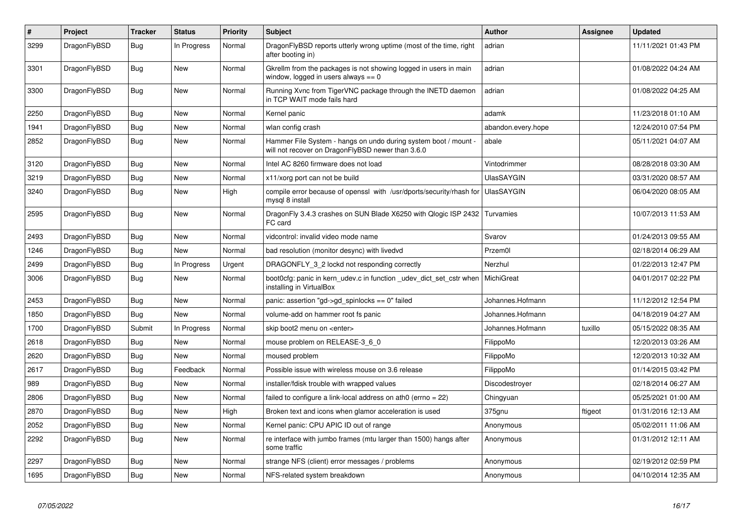| $\vert$ # | Project      | <b>Tracker</b> | <b>Status</b> | <b>Priority</b> | <b>Subject</b>                                                                                                       | <b>Author</b>      | Assignee | <b>Updated</b>      |
|-----------|--------------|----------------|---------------|-----------------|----------------------------------------------------------------------------------------------------------------------|--------------------|----------|---------------------|
| 3299      | DragonFlyBSD | <b>Bug</b>     | In Progress   | Normal          | DragonFlyBSD reports utterly wrong uptime (most of the time, right<br>after booting in)                              | adrian             |          | 11/11/2021 01:43 PM |
| 3301      | DragonFlyBSD | Bug            | <b>New</b>    | Normal          | Gkrellm from the packages is not showing logged in users in main<br>window, logged in users always $== 0$            | adrian             |          | 01/08/2022 04:24 AM |
| 3300      | DragonFlyBSD | <b>Bug</b>     | <b>New</b>    | Normal          | Running Xvnc from TigerVNC package through the INETD daemon<br>in TCP WAIT mode fails hard                           | adrian             |          | 01/08/2022 04:25 AM |
| 2250      | DragonFlyBSD | Bug            | <b>New</b>    | Normal          | Kernel panic                                                                                                         | adamk              |          | 11/23/2018 01:10 AM |
| 1941      | DragonFlyBSD | <b>Bug</b>     | <b>New</b>    | Normal          | wlan config crash                                                                                                    | abandon.every.hope |          | 12/24/2010 07:54 PM |
| 2852      | DragonFlyBSD | <b>Bug</b>     | <b>New</b>    | Normal          | Hammer File System - hangs on undo during system boot / mount -<br>will not recover on DragonFlyBSD newer than 3.6.0 | abale              |          | 05/11/2021 04:07 AM |
| 3120      | DragonFlyBSD | <b>Bug</b>     | <b>New</b>    | Normal          | Intel AC 8260 firmware does not load                                                                                 | Vintodrimmer       |          | 08/28/2018 03:30 AM |
| 3219      | DragonFlyBSD | <b>Bug</b>     | <b>New</b>    | Normal          | x11/xorg port can not be build                                                                                       | <b>UlasSAYGIN</b>  |          | 03/31/2020 08:57 AM |
| 3240      | DragonFlyBSD | Bug            | <b>New</b>    | High            | compile error because of openssl with /usr/dports/security/rhash for<br>mysql 8 install                              | <b>UlasSAYGIN</b>  |          | 06/04/2020 08:05 AM |
| 2595      | DragonFlyBSD | <b>Bug</b>     | New           | Normal          | DragonFly 3.4.3 crashes on SUN Blade X6250 with Qlogic ISP 2432<br>FC card                                           | Turvamies          |          | 10/07/2013 11:53 AM |
| 2493      | DragonFlyBSD | <b>Bug</b>     | <b>New</b>    | Normal          | vidcontrol: invalid video mode name                                                                                  | Svarov             |          | 01/24/2013 09:55 AM |
| 1246      | DragonFlyBSD | Bug            | New           | Normal          | bad resolution (monitor desync) with livedvd                                                                         | Przem0l            |          | 02/18/2014 06:29 AM |
| 2499      | DragonFlyBSD | Bug            | In Progress   | Urgent          | DRAGONFLY 3 2 lockd not responding correctly                                                                         | Nerzhul            |          | 01/22/2013 12:47 PM |
| 3006      | DragonFlyBSD | <b>Bug</b>     | <b>New</b>    | Normal          | boot0cfg: panic in kern_udev.c in function _udev_dict_set_cstr when<br>installing in VirtualBox                      | MichiGreat         |          | 04/01/2017 02:22 PM |
| 2453      | DragonFlyBSD | Bug            | <b>New</b>    | Normal          | panic: assertion "gd->gd_spinlocks == 0" failed                                                                      | Johannes.Hofmann   |          | 11/12/2012 12:54 PM |
| 1850      | DragonFlyBSD | <b>Bug</b>     | <b>New</b>    | Normal          | volume-add on hammer root fs panic                                                                                   | Johannes.Hofmann   |          | 04/18/2019 04:27 AM |
| 1700      | DragonFlyBSD | Submit         | In Progress   | Normal          | skip boot2 menu on <enter></enter>                                                                                   | Johannes.Hofmann   | tuxillo  | 05/15/2022 08:35 AM |
| 2618      | DragonFlyBSD | <b>Bug</b>     | New           | Normal          | mouse problem on RELEASE-3 6 0                                                                                       | FilippoMo          |          | 12/20/2013 03:26 AM |
| 2620      | DragonFlyBSD | <b>Bug</b>     | New           | Normal          | moused problem                                                                                                       | FilippoMo          |          | 12/20/2013 10:32 AM |
| 2617      | DragonFlyBSD | Bug            | Feedback      | Normal          | Possible issue with wireless mouse on 3.6 release                                                                    | FilippoMo          |          | 01/14/2015 03:42 PM |
| 989       | DragonFlyBSD | <b>Bug</b>     | <b>New</b>    | Normal          | installer/fdisk trouble with wrapped values                                                                          | Discodestroyer     |          | 02/18/2014 06:27 AM |
| 2806      | DragonFlyBSD | Bug            | New           | Normal          | failed to configure a link-local address on ath0 (errno = 22)                                                        | Chingyuan          |          | 05/25/2021 01:00 AM |
| 2870      | DragonFlyBSD | Bug            | <b>New</b>    | High            | Broken text and icons when glamor acceleration is used                                                               | 375gnu             | ftigeot  | 01/31/2016 12:13 AM |
| 2052      | DragonFlyBSD | <b>Bug</b>     | <b>New</b>    | Normal          | Kernel panic: CPU APIC ID out of range                                                                               | Anonymous          |          | 05/02/2011 11:06 AM |
| 2292      | DragonFlyBSD | <b>Bug</b>     | <b>New</b>    | Normal          | re interface with jumbo frames (mtu larger than 1500) hangs after<br>some traffic                                    | Anonymous          |          | 01/31/2012 12:11 AM |
| 2297      | DragonFlyBSD | Bug            | New           | Normal          | strange NFS (client) error messages / problems                                                                       | Anonymous          |          | 02/19/2012 02:59 PM |
| 1695      | DragonFlyBSD | Bug            | <b>New</b>    | Normal          | NFS-related system breakdown                                                                                         | Anonymous          |          | 04/10/2014 12:35 AM |